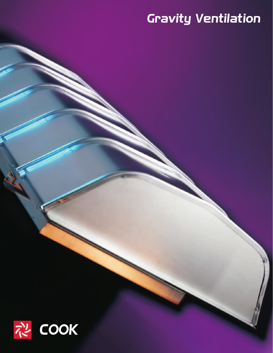# Gravity Ventilation

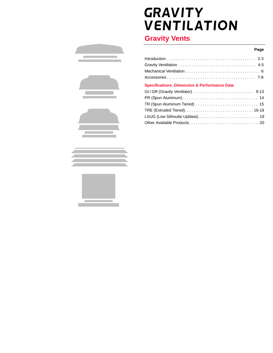## **GRAVITY VENTILATION**

### **Gravity Vents**

#### **Page** Service Service Service Service Service Service Service Service Service Service Service Service Service

| <b>Specifications. Dimension &amp; Performance Data</b> |
|---------------------------------------------------------|
|                                                         |
|                                                         |
|                                                         |
|                                                         |
|                                                         |
|                                                         |

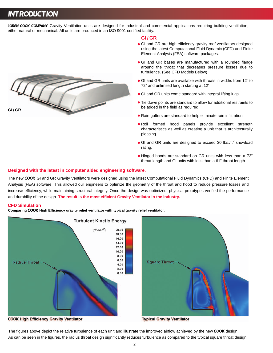### <span id="page-2-0"></span>**INTRODUCTION**

LOREN COOK COMPANY Gravity Ventilation units are designed for industrial and commercial applications requiring building ventilation, either natural or mechanical. All units are produced in an ISO 9001 certified facility.



#### **GI / GR**

- GI and GR are high efficiency gravity roof ventilators designed using the latest Computational Fluid Dynamic (CFD) and Finite Element Analysis (FEA) software packages.
- GI and GR bases are manufactured with a rounded flange around the throat that decreases pressure losses due to turbulence. (See CFD Models Below)
- GI and GR units are available with throats in widths from 12" to 72" and unlimited length starting at 12".
- GI and GR units come standard with integral lifting lugs.
- Tie down points are standard to allow for additional restraints to be added in the field as required.
- Rain gutters are standard to help eliminate rain infiltration.
- Roll formed hood panels provide excellent strength characteristics as well as creating a unit that is architecturally pleasing.
- GI and GR units are designed to exceed 30 lbs./ft<sup>2</sup> snowload rating.
- Hinged hoods are standard on GR units with less than a 73" throat length and GI units with less than a 61" throat length.

#### **Designed with the latest in computer aided engineering software.**

The new COOK GI and GR Gravity Ventilators were designed using the latest Computational Fluid Dynamics (CFD) and Finite Element Analysis (FEA) software. This allowed our engineers to optimize the geometry of the throat and hood to reduce pressure losses and increase efficiency, while maintaining structural integrity. Once the design was optimized, physical prototypes verified the performance and durability of the design. **The result is the most efficient Gravity Ventilator in the industry.**

#### **CFD Simulation**

**Comparing** COOK **High Efficiency gravity relief ventilator with typical gravity relief ventilator.**



The figures above depict the relative turbulence of each unit and illustrate the improved airflow achieved by the new COOK design. As can be seen in the figures, the radius throat design significantly reduces turbulence as compared to the typical square throat design.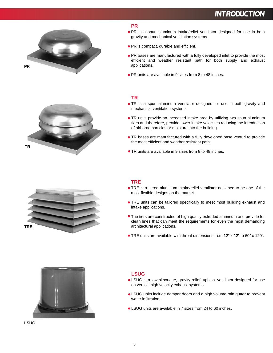







- PR is a spun aluminum intake/relief ventilator designed for use in both gravity and mechanical ventilation systems.
- PR is compact, durable and efficient.
- PR bases are manufactured with a fully developed inlet to provide the most efficient and weather resistant path for both supply and exhaust applications.
- PR units are available in 9 sizes from 8 to 48 inches.

#### **TR**

- TR is a spun aluminum ventilator designed for use in both gravity and mechanical ventilation systems.
- **.** TR units provide an increased intake area by utilizing two spun aluminum tiers and therefore, provide lower intake velocities reducing the introduction of airborne particles or moisture into the building.
- TR bases are manufactured with a fully developed base venturi to provide the most efficient and weather resistant path.
- TR units are available in 9 sizes from 8 to 48 inches.

#### **TRE**

- TRE is a tiered aluminum intake/relief ventilator designed to be one of the most flexible designs on the market.
- **TRE units can be tailored specifically to meet most building exhaust and** intake applications.
- The tiers are constructed of high quality extruded aluminum and provide for clean lines that can meet the requirements for even the most demanding architectural applications.
- TRE units are available with throat dimensions from 12" x 12" to 60" x 120".



**LSUG**

#### **LSUG**

- LSUG is a low silhouette, gravity relief, upblast ventilator designed for use on vertical high velocity exhaust systems.
- LSUG units include damper doors and a high volume rain gutter to prevent water infiltration.
- LSUG units are available in 7 sizes from 24 to 60 inches.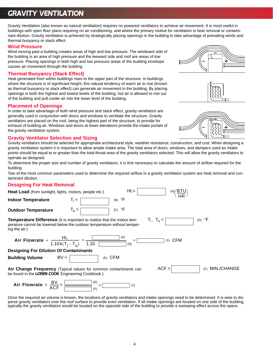### <span id="page-4-0"></span>GRAVITY VENTILATION

Gravity Ventilation (also known as natural ventilation) requires no powered ventilators to achieve air movement. It is most useful in buildings with open floor plans requiring no air conditioning, and where the primary motive for ventilation is heat removal or contaminant dilution. Gravity ventilation is achieved by strategically placing openings in the building to take advantage of prevailing winds and thermal buoyancy or stack effect.

#### **Wind Pressure**

Wind moving past a building creates areas of high and low pressure. The windward side of the building is an area of high pressure and the leeward side and roof are areas of low pressure. Placing openings in both high and low pressure areas of the building envelope causes air movement through the building.

#### **Thermal Buoyancy (Stack Effect)**

Heat generated from within buildings rises to the upper part of the structure. In buildings where the structure is of significant height, this natural tendency of warm air to rise (known as thermal buoyancy or stack effect) can generate air movement in the building. By placing openings in both the highest and lowest levels of the building, hot air is allowed to rise out of the building and pull cooler air into the lower level of the building.

#### **Placement of Openings**

In order to take advantage of both wind pressure and stack effect, gravity ventilators are generally used in conjunction with doors and windows to ventilate the structure. Gravity ventilators are placed on the roof, being the highest part of the structure, to provide for exhaust of building air. Windows and doors at lower elevations provide the intake portals of the gravity ventilation system.

#### **Gravity Ventilator Selection and Sizing**

Gravity ventilators should be selected for appropriate architectural style, weather resistance, construction, and cost. When designing a gravity ventilation system it is important to allow ample intake area. The total area of doors, windows, and dampers used as intake points should be equal to or greater than the total throat area of the gravity ventilators selected. This will allow the gravity ventilators to operate as designed.

To determine the proper size and number of gravity ventilators, it is first necessary to calculate the amount of airflow required for the building.

Two of the most common parameters used to determine the required airflow in a gravity ventilation system are heat removal and contaminant dilution.

#### **Designing For Heat Removal**



Once the required air volume is known, the locations of gravity ventilators and intake openings need to be determined. It is wise to disperse gravity ventilators over the roof surface to provide even ventilation. If all intake openings are located on one side of the building, typically the gravity ventilators would be located on the opposite side of the building to provide a sweeping effect across the space.





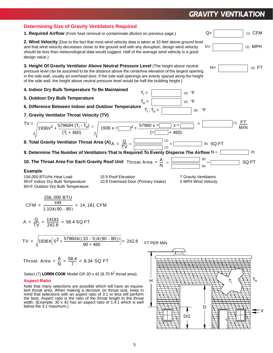### GRAVITY VENTILATION

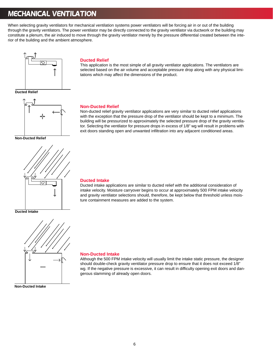### <span id="page-6-0"></span>MECHANICAL VENTILATION

When selecting gravity ventilators for mechanical ventilation systems power ventilators will be forcing air in or out of the building through the gravity ventilators. The power ventilator may be directly connected to the gravity ventilator via ductwork or the building may constitute a plenum, the air induced to move through the gravity ventilator merely by the pressure differential created between the interior of the building and the ambient atmosphere.



**Ducted Relief**



**Non-Ducted Relief**



**Ducted Intake**



**Non-Ducted Intake**

### **Ducted Relief**

This application is the most simple of all gravity ventilator applications. The ventilators are selected based on the air volume and acceptable pressure drop along with any physical limitations which may affect the dimensions of the product.

#### **Non-Ducted Relief**

Non-ducted relief gravity ventilator applications are very similar to ducted relief applications with the exception that the pressure drop of the ventilator should be kept to a minimum. The building will be pressurized to approximately the selected pressure drop of the gravity ventilator. Selecting the ventilator for pressure drops in excess of 1/8" wg will result in problems with exit doors standing open and unwanted infiltration into any adjacent conditioned areas.

#### **Ducted Intake**

Ducted intake applications are similar to ducted relief with the additional consideration of intake velocity. Moisture carryover begins to occur at approximately 500 FPM intake velocity and gravity ventilator selections should, therefore, be kept below that threshold unless moisture containment measures are added to the system.

#### **Non-Ducted Intake**

Although the 500 FPM intake velocity will usually limit the intake static pressure, the designer should double-check gravity ventilator pressure drop to ensure that it does not exceed 1/8" wg. If the negative pressure is excessive, it can result in difficulty opening exit doors and dangerous slamming of already open doors.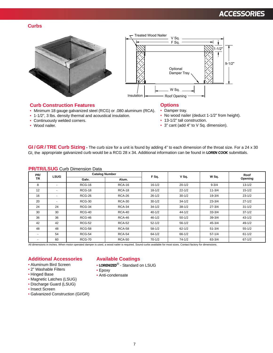### ACCESSORIES

#### **Curbs**





#### **Curb Construction Features**

- Minimum 18 gauge galvanized steel (RCG) or .080 aluminum (RCA).
- 1-1/2", 3 lbs. density thermal and acoustical insulation.
- Continuously welded corners.
- Wood nailer.

#### **Options**

- Damper tray.
- No wood nailer (deduct 1-1/2" from height).
- 13-1/2" tall construction.
- 3" cant (add 4" to V Sq. dimension).

**GI / GR / TRE Curb Sizing -** The curb size for a unit is found by adding 4" to each dimension of the throat size. For a 24 x 30 GI, the appropriate galvanized curb would be a RCG 28 x 34. Additional information can be found in LOREN COOK submittals.

| PR/ | <b>LSUG</b>              | <b>Catalog Number</b> | F Sq.         |            |  |
|-----|--------------------------|-----------------------|---------------|------------|--|
| TR  |                          | Galv.                 | Alum.         |            |  |
| 8   | $\blacksquare$           | <b>RCG-16</b>         | <b>RCA-16</b> | $16 - 1/2$ |  |
| 12  | $\overline{\phantom{a}}$ | <b>RCG-18</b>         | <b>RCA-18</b> | $18 - 1/2$ |  |

#### **PR/TR/LSUG** Curb Dimension Data

| PR/       | <b>LSUG</b> | <b>Catalog Number</b> |               | F Sq.      | V Sq.      | W Sq.      | Roof       |
|-----------|-------------|-----------------------|---------------|------------|------------|------------|------------|
| <b>TR</b> |             | Galv.                 | Alum.         |            |            |            | Opening    |
| 8         |             | RCG-16                | <b>RCA-16</b> | $16 - 1/2$ | $20 - 1/2$ | $9 - 3/4$  | $13 - 1/2$ |
| 12        |             | <b>RCG-18</b>         | <b>RCA-18</b> | $18 - 1/2$ | $22 - 1/2$ | $11 - 3/4$ | $15 - 1/2$ |
| 16        |             | RCG-26                | RCA-26        | $26 - 1/2$ | $30 - 1/2$ | $19 - 3/4$ | $23 - 1/2$ |
| 20        |             | <b>RCG-30</b>         | <b>RCA-30</b> | $30 - 1/2$ | $34 - 1/2$ | $23 - 3/4$ | $27 - 1/2$ |
| 24        | 24          | RCG-34                | RCA-34        | $34 - 1/2$ | $38 - 1/2$ | $27 - 3/4$ | $31 - 1/2$ |
| 30        | 30          | <b>RCG-40</b>         | RCA-40        | $40 - 1/2$ | $44 - 1/2$ | $33 - 3/4$ | $37 - 1/2$ |
| 36        | 36          | RCG-46                | RCA-46        | $46 - 1/2$ | $50 - 1/2$ | $39 - 3/4$ | $43 - 1/2$ |
| 42        | 42          | <b>RCG-52</b>         | <b>RCA-52</b> | $52 - 1/2$ | $56 - 1/2$ | $45 - 3/4$ | $49 - 1/2$ |
| 48        | 48          | <b>RCG-58</b>         | <b>RCA-58</b> | $58-1/2$   | $62 - 1/2$ | $51 - 3/4$ | $55 - 1/2$ |
|           | 54          | <b>RCG-54</b>         | <b>RCA-54</b> | $64 - 1/2$ | $66 - 1/2$ | $57 - 1/4$ | $61 - 1/2$ |
|           | 60          | <b>RCG-70</b>         | <b>RCA-50</b> | $70 - 1/2$ | $74 - 1/2$ | $63 - 3/4$ | $67 - 1/2$ |

All dimensions in inches. When motor operated damper is used, a wood nailer is required. Sound curbs available for most sizes. Contact factory for dimensions.

#### **Additional Accessories**

- Aluminum Bird Screen
- 2" Washable Filters
- Hinged Base
- Magnetic Latches (LSUG)
- Discharge Guard (LSUG)
- Insect Screen
- Galvanized Construction (GI/GR)

#### **Available Coatings**

- LORENIZED<sup>®</sup> Standard on LSUG
- Epoxy
- Anti-condensate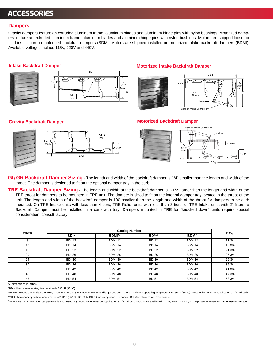### **ACCESSORIES**

#### **Dampers**

Gravity dampers feature an extruded aluminum frame, aluminum blades and aluminum hinge pins with nylon bushings. Motorized dampers feature an extruded aluminum frame, aluminum blades and aluminum hinge pins with nylon bushings. Motors are shipped loose for field installation on motorized backdraft dampers (BDM). Motors are shipped installed on motorized intake backdraft dampers (BDMI). Available voltages include 115V, 220V and 440V.

#### **Intake Backdraft Damper**





#### **Motorized Intake Backdraft Damper**





#### **Gravity Backdraft Damper Motorized Backdraft Damper**



- **GI / GR Backdraft Damper Sizing** The length and width of the backdraft damper is 1/4" smaller than the length and width of the throat. The damper is designed to fit on the optional damper tray in the curb.
- **TRE Backdraft Damper Sizing** The length and width of the backdraft damper is 1-1/2" larger than the length and width of the TRE throat for dampers to be mounted in TRE unit. The damper is sized to fit on the integral damper tray located in the throat of the unit. The length and width of the backdraft damper is 1/4" smaller than the length and width of the throat for dampers to be curb mounted. On TRE Intake units with less than 4 tiers, TRE Relief units with less than 3 tiers, or TRE Intake units with 2" filters, a Backdraft Damper must be installed in a curb with tray. Dampers mounted in TRE for "knocked down" units require special consideration, consult factory.

| <b>PR/TR</b> |               | <b>Catalog Number</b> |              |                | E Sq.      |
|--------------|---------------|-----------------------|--------------|----------------|------------|
|              | BDI*          | <b>BDMI**</b>         | <b>BD***</b> | $BDM^{\Delta}$ |            |
| 8            | <b>BDI-12</b> | <b>BDMI-12</b>        | <b>BD-12</b> | <b>BDM-12</b>  | $11 - 3/4$ |
| 12           | <b>BDI-14</b> | <b>BDMI-14</b>        | <b>BD-14</b> | <b>BDM-14</b>  | $13 - 3/4$ |
| 16           | <b>BDI-22</b> | BDMI-22               | <b>BD-22</b> | <b>BDM-22</b>  | $21 - 3/4$ |
| 20           | BDI-26        | BDMI-26               | <b>BD-26</b> | <b>BDM-26</b>  | $25 - 3/4$ |
| 24           | <b>BDI-30</b> | BDMI-30               | <b>BD-30</b> | <b>BDM-30</b>  | 29-3/4     |
| 30           | <b>BDI-36</b> | BDMI-36               | <b>BD-36</b> | BDM-36         | $35 - 3/4$ |
| 36           | <b>BDI-42</b> | <b>BDMI-42</b>        | <b>BD-42</b> | <b>BDM-42</b>  | $41 - 3/4$ |
| 42           | <b>BDI-48</b> | BDMI-48               | <b>BD-48</b> | <b>BDM-48</b>  | $47 - 3/4$ |
| 48           | <b>BDI-54</b> | <b>BDMI-54</b>        | <b>BD-54</b> | <b>BDM-54</b>  | $53 - 3/4$ |

All dimensions in inches.

\*BDI - Maximum operating temperature is 200° F (95° C).

\*\*BDMI - Motors are available in 110V, 220V, or 440V, single phase. BDMI-36 and larger use two motors. Maximum operating temperature is 130° F (50° C). Wood nailer must be supplied on 9-1/2" tall curb. \*\*\*BD - Maximum operating temperature is 200° F (95° C). BD-36 to BD-66 are shipped as two panels. BD-78 is shipped as three panels.

<sup>∆</sup>BDM - Maximum operating temperature is 130° F (50° C). Wood nailer must be supplied on 9-1/2" tall curb. Motors are available in 110V, 220V, or 440V, single phase. BDM-36 and larger use two motors.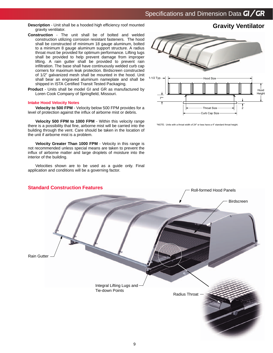### Specifications and Dimension Data **GI/GR**

**Gravity Ventilator**

<span id="page-9-0"></span>**Description** - Unit shall be a hooded high efficiency roof mounted gravity ventilator.

- **Construction** The unit shall be of bolted and welded construction utilizing corrosion resistant fasteners. The hood shall be constructed of minimum 18 gauge aluminum, bolted to a minimum 8 gauge aluminum support structure. A radius throat must be provided for optimum performance. Lifting lugs shall be provided to help prevent damage from improper lifting. A rain gutter shall be provided to prevent rain infiltration. The base shall have continuously welded curb cap corners for maximum leak protection. Birdscreen constructed of 1/2" galvanized mesh shall be mounted in the hood. Unit shall bear an engraved aluminum nameplate and shall be shipped in ISTA Certified Transit Tested Packaging.
- **Product** Units shall be model GI and GR as manufactured by Loren Cook Company of Springfield, Missouri.

#### **Intake Hood Velocity Notes**

**Velocity to 500 FPM** - Velocity below 500 FPM provides for a level of protection against the influx of airborne mist or debris.

**Velocity 500 FPM to 1000 FPM** - Within this velocity range there is a possibility that fine, airborne mist will be carried into the building through the vent. Care should be taken in the location of the unit if airborne mist is a problem.

**Velocity Greater Than 1000 FPM** - Velocity in this range is not recommended unless special means are taken to prevent the influx of airborne matter and large droplets of moisture into the interior of the building.

Velocities shown are to be used as a guide only. Final application and conditions will be a governing factor.



\*NOTE: Units with a throat width of 24" or less have a 4" standard throat height.



9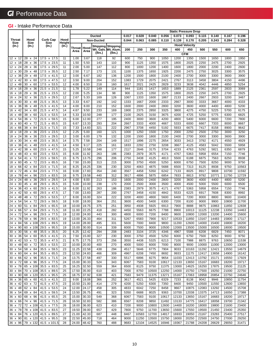### **GI** Performance Data

### **GI** - Intake Performance Data

|                          |                                       |                            |                 | <b>Ducted</b>         |                |                   |                    |              |              |              | <b>Static Pressure Drop</b> |              |                      |              |               |                |               |
|--------------------------|---------------------------------------|----------------------------|-----------------|-----------------------|----------------|-------------------|--------------------|--------------|--------------|--------------|-----------------------------|--------------|----------------------|--------------|---------------|----------------|---------------|
|                          |                                       |                            |                 |                       |                |                   |                    | 0.017        | 0.028        | 0.040        | 0.056                       | 0.073        | 0.093                | 0.115        | 0.140         | 0.167          | 0.196         |
| Throat                   | Hood                                  | <b>Curb Cap</b>            | Hood            |                       |                | <b>Non-Ducted</b> |                    | 0.044        | 0.063        | 0.085        | 0.110                       | 0.139        | 0.170                | 0.205        | 0.243         | 0.284          | 0.328         |
| Size<br>(In.)            | Size<br>(In.)                         | Size<br>(In.)              | Height<br>(In.) |                       |                |                   | Shipping Shipping  |              |              |              |                             |              | <b>Hood Velocity</b> |              |               |                |               |
|                          |                                       |                            |                 | Throat   Hood<br>Area | Area           |                   | Wt. Galv. Wt. Alum | 200          | 250          | 300          | 350                         | 400          | 450                  | 500          | 550           | 600            | 650           |
|                          |                                       |                            |                 |                       |                | (lbs.)            | (lbs.)             |              |              |              |                             |              | <b>CFM</b>           |              |               |                |               |
| 12 x 12                  | 28 x 24                               | 17.5 x 17.5                | 11              | 1.00                  | 3.67           | 118               | 92                 | 600          | 750          | 900          | 1050                        | 1200         | 1350                 | 1500         | 1650          | 1800           | 1950          |
| $12 \times 18$           | 28<br>x 36                            | x 23.5<br>17.5             | 11              | 1.50                  | 5.50           | 143               | 110                | 900          | 1125         | 1350         | 1575                        | 1800         | 2025                 | 2250         | 2475          | 2700           | 2925          |
| 24<br>12 x               | 28<br>x 36                            | x 29.5<br>17.5             | 11              | 2.00                  | 5.00           | 147               | 112                | 800          | 1000         | 1200         | 1400                        | 1600         | 1800                 | 2000         | 2200          | 2400           | 2600          |
| 30<br>12 x               | 29<br>x 48                            | 17.5 x 35.5                | 12              | 2.50                  | 7.17           | 173               | 131                | 1100         | 1375         | 1650         | 1925                        | 2200         | 2475                 | 2750         | 3025          | 3300           | 3575          |
| 12 x<br>36               | 29<br>x 48                            | 17.5 x 41.5                | 12              | 3.00                  | 6.67           | 182               | 136                | 1200         | 1500         | 1800         | 2100                        | 2400         | 2700                 | 3000         | 3300          | 3600           | 3900          |
| 12 x 42                  | 30<br>x 60                            | 17.5 x 47.5                | 12              | 3.50                  | 9.00           | 204               | 152                | 1383         | 1729         | 2075         | 2421                        | 2767         | 3113                 | 3458         | 3804          | 4150           | 4496          |
| $12 \times$<br>48        | 30<br>x 60                            | 17.5 x 53.5                | 12              | 4.00                  | 8.50           | 218               | 160                | 1617         | 2021         | 2425         | 2829                        | 3233         | 3638                 | 4042         | 4446          | 4850           | 5254          |
| 16<br>16 x               | 28<br>x 36                            | 21.5 x 21.5                | 11              | 1.78                  | 5.22           | 149               | 114                | 944          | 1181         | 1417         | 1653                        | 1889         | 2125                 | 2361         | 2597          | 2833           | 3069          |
| 16 x 18                  | 29<br>x 36                            | 21.5 x 23.5                | 12              | 2.00                  | 5.25           | 134               | 98                 | 900          | 1125         | 1350         | 1575                        | 1800         | 2025                 | 2250         | 2475          | 2700           | 2925          |
| 24<br>16 x               | 32 x<br>36                            | 21.5 x 29.5                | 12              | 2.67                  | 5.33           | 169               | 126                | 1067         | 1333         | 1600         | 1867                        | 2133         | 2400                 | 2667         | 2933          | 3200           | 3467          |
| 16x<br>30                | 30<br>48<br>$\pmb{\chi}$              | 21.5 x 35.5                | 13              | 3.33                  | 6.67           | 192               | 142                | 1333         | 1667         | 2000         | 2333                        | 2667         | 3000                 | 3333         | 3667          | 4000           | 4333          |
| 16 x 36                  | 36<br>x 48                            | 21.5 x 41.5                | 14              | 4.00                  | 8.00           | 210               | 152                | 1600         | 2000         | 2400         | 2800                        | 3200         | 3600                 | 4000         | 4400          | 4800           | 5200          |
| 16 x<br>-42              | 34<br>x 60                            | 21.5 x 47.5                | 14              | 4.67                  | 9.50           | 233               | 169                | 1900         | 2375         | 2850         | 3325                        | 3800         | 4275                 | 4750         | 5225          | 5700           | 6175          |
| 16 x 48                  | 38<br>x 60                            | 21.5 x 53.5                | 14              | 5.33                  | 10.50          | 248               | 177                | 2100         | 2625         | 3150         | 3675                        | 4200         | 4725                 | 5250         | 5775          | 6300           | 6825          |
| 54<br>16x                | 36<br>72<br>$\boldsymbol{\mathsf{x}}$ | 21.5 x 59.5                | 15              | 6.00                  | 12.00          | 277               | 195                | 2400         | 3000         | 3600         | 4200                        | 4800         | 5400                 | 6000         | 6600          | 7200           | 7800          |
| 16 x<br>60               | 40<br>x 72                            | 21.5 x 65.5                | 15              | 6.67                  | 13.33          | 293               | 204                | 2667         | 3333         | 4000         | 4667                        | 5333         | 6000                 | 6667         | 7333          | 8000           | 8667          |
| 16 x 66                  | 38<br>x 84                            | 21.5 x 71.5                | 15              | 7.33                  | 14.83          | 321               | 222                | 2967         | 3708         | 4450         | 5192                        | 5933         | 6675                 | 7417         | 8158          | 8900           | 9642          |
| 18 x 18                  | 29<br>x 36                            | 23.5 x 23.5                | 12              | 2.25                  | 5.00           | 160               | 121                | 1000         | 1250         | 1500         | 1750                        | 2000         | 2250                 | 2500         | 2750          | 3000           | 3250          |
| 24<br>$18 \times$        | 36<br>x 36                            | 23.5 x 29.5                | 13              | 3.00                  | 6.00           | 179               | 132                | 1200         | 1500         | 1800         | 2100                        | 2400         | 2700                 | 3000         | 3300          | 3600           | 3900          |
| 30<br>18 x               | 34<br>x 48                            | 23.5 x 35.5                | 14              | 3.75                  | 7.58           | 204               | 149                | 1517         | 1896         | 2275         | 2654                        | 3033         | 3413                 | 3792         | 4171          | 4550           | 4929          |
| 36<br>18 x               | x 48<br>41                            | 23.5 x 41.5                | 14              | 4.50                  | 9.17           | 225               | 161                | 1833         | 2292         | 2750         | 3208                        | 3667         | 4125                 | 4583         | 5042          | 5500           | 5958          |
| 18 x 42                  | 38<br>x 60                            | 23.5 x 47.5                | 15              | 5.25                  | 10.58          | 248               | 177                | 2117         | 2646         | 3175         | 3704                        | 4233         | 4763                 | 5292         | 5821          | 6350           | 6879          |
| 18 x<br>48               | 43<br>x 60                            | 23.5 x 53.5                | 15              | 6.00                  | 11.92          | 263               | 186                | 2383         | 2979         | 3575         | 4171                        | 4767         | 5363                 | 5958         | 6554          | 7150           | 7746          |
| 54<br>$18 \times$        | 41<br>72<br>$\pmb{\chi}$              | 23.5 x 59.5                | 15              | 6.75                  | 13.75          | 296               | 206                | 2750         | 3438         | 4125         | 4813                        | 5500         | 6188                 | 6875         | 7563          | 8250           | 8938          |
| 18 x 60                  | 72<br>45<br>$\boldsymbol{\mathsf{x}}$ | 23.5 x 65.5                | 16              | 7.50                  | 15.00          | 313               | 215                | 3000         | 3750         | 4500         | 5250                        | 6000         | 6750                 | 7500         | 8250          | 9000           | 9750          |
| 18 x 66                  | 42<br>x 84                            | 23.5 x 71.5                | 16              | 8.25                  | 16.25          | 336               | 230                | 3250         | 4063         | 4875         | 5688                        | 6500         | 7313                 | 8125         | 8938          | 9750           | 10563         |
| 18 x 72                  | 46<br>x 84                            | 23.5 x 77.5                | 16<br>16        | 9.00                  | 17.83<br>19.58 | 354               | 240<br>312         | 3567         | 4458<br>4896 | 5350         | 6242<br>6854                | 7133<br>7833 | 8025<br>8813         | 8917<br>9792 | 9808          | 10700<br>11750 | 11592         |
| 78<br>18 x<br>24 x<br>24 | 44<br>x 96<br>48                      | 23.5 x 83.5<br>29.5 x 29.5 | 14              | 9.75<br>4.00          | 8.00           | 440<br>213        | 153                | 3917<br>1600 | 2000         | 5875<br>2400 | 2800                        | 3200         | 3600                 | 4000         | 10771<br>4400 | 4800           | 12729<br>5200 |
| 24 x 30                  | x 36<br>45<br>x 48                    | 29.5 x 35.5                | 15              | 5.00                  | 10.00          | 238               | 170                | 2000         | 2500         | 3000         | 3500                        | 4000         | 4500                 | 5000         | 5500          | 6000           | 6500          |
| 24 x<br>36               | 43<br>-60<br>X                        | 29.5 x 41.5                | 16              | 6.00                  | 11.92          | 263               | 186                | 2383         | 2979         | 3575         | 4171                        | 4767         | 5363                 | 5958         | 6554          | 7150           | 7746          |
| 24 x<br>42               | 50<br>x 60                            | 29.5 x 47.5                | 17              | 7.00                  | 13.83          | 287               | 200                | 2767         | 3458         | 4150         | 4842                        | 5533         | 6225                 | 6917         | 7608          | 8300           | 8992          |
| 24 x 48                  | 72<br>48<br>X                         | 29.5 x 53.5                | 17              | 8.00                  | 16.00          | 324               | 222                | 3200         | 4000         | 4800         | 5600                        | 6400         | 7200                 | 8000         | 8800          | 9600           | 10400         |
| 24 x<br>54               | 54<br>x 72                            | 29.5 x 59.5                | 18              | 9.00                  | 18.00          | 364               | 251                | 3600         | 4500         | 5400         | 6300                        | 7200         | 8100                 | 9000         | 9900          | 10800          | 11700         |
| 24 x 60                  | 51<br>84<br>$\boldsymbol{\mathsf{x}}$ | 29.5 x 65.5                | 18              | 10.00                 | 19.75          | 375               | 251                | 3950         | 4938         | 5925         | 6913                        | 7900         | 8888                 | 9875         | 10863         | 11850          | 12838         |
| 24 x<br>66               | 57<br>x 84                            | 29.5 x 71.5                | 18              | 11.00                 | 22.25          | 418               | 282                | 4450         | 5563         | 6675         | 7788                        | 8900         | 10013                | 11125        | 12238         | 13350          | 14463         |
| 24 x<br>72               | 54<br>x 96                            | 29.5 x 77.5                | 19              | 12.00                 | 24.00          | 443               | 300                | 4800         | 6000         | 7200         | 8400                        | 9600         | 10800                | 12000        | 13200         | 14400          | 15600         |
| 24 x 78                  | 59<br>x 96                            | 29.5 x 83.5                | 19              | 13.00                 | 26.33          | 464               | 311                | 5267         | 6583         | 7900         | 9217                        | 10533        | 11850                | 13167        | 14483         | 15800          | 17117         |
| 24 x 84                  | 56<br>x 108                           | 29.5 x 89.5                | 19              | 14.00                 | 28.00          | 495               | 331                | 5600         | 7000         | 8400         | 9800                        | 11200        | 12600                | 14000        | 15400         | 16800          | 18200         |
| $24 \times 90$           | 60<br>x 108                           | 29.5 x 95.5                | 19              | 15.00                 | 30.00          | 514               | 339                | 6000         | 7500         | 9000         | 10500                       | 12000        | 13500                | 15000        | 16500         | 18000          | 19500         |
| 30 x 30                  | 56 x 48                               | 35.5 x 35.5                | 20              | 6.25                  | 12.42          | 294               | 208                | 2483         | 3104         | 3725         | 4346                        | 4967         | 5588                 | 6208         | 6829          | 7450           | 8071          |
| 30 x 36                  | 54 x 60                               | 35.5 x 41.5                | 21              | 7.50                  | 15.00          | 327               | 230                | 3000         | 3750         | 4500         | 5250                        | 6000         | 6750                 | 7500         | 8250          | 9000           | 9750          |
| 30 x 42                  | 53 x 72                               | 35.5 x 47.5                | 21              | 8.75                  | 17.75          | 373               | 256                | 3550         | 4438         | 5325         | 6213                        | 7100         | 7988                 | 8875         | 9763          | 10650          | 11538         |
| 30 x 48                  | 60 x 72                               | 35.5 x 53.5                | 22              | 10.00                 | 20.00          | 400               | 270                | 4000         | 5000         | 6000         | 7000                        | 8000         | 9000                 | 10000        | 11000         | 12000          | 13000         |
| 30 x 54                  | 58 x 84                               | 35.5 x 59.5                | 23              | 11.25                 | 22.58          | 438               | 294                | 4517         | 5646         | 6775         | 7904                        | 9033         | 10163                | 11292        | 12421         | 13550          | 14679         |
| $30 \times 60$           | 64 x 84                               | 35.5 x 65.5                | 23              | 12.50                 | 24.83          | 466               | 309                | 4967         | 6208         | 7450         | 8692                        | 9933         | 11175                | 12417        | 13658         | 14900          | 16142         |
| 30 x 66                  | 62 x 96                               | 35.5 x 71.5                | 24              | 13.75                 | 27.58          | 497               | 330                | 5517         | 6896         | 8275         | 9654                        | 11033        | 12413                | 13792        | 15171         | 16550          | 17929         |
| 30 x 72                  | 68 x 96                               | 35.5 x 77.5                | 24              | 15.00                 | 30.33          | 524               | 343                | 6067         | 7583         | 9100         | 10617                       | 12133        | 13650                | 15167        | 16683         | 18200          | 19717         |
| 30 x 78                  | 65 x 108                              | 35.5 x 83.5                | 25              | 16.25                 | 32.50          | 559               | 364                | 6500         | 8125         | 9750         | 11375                       | 13000        | 14625                | 16250        | 17875         | 19500          | 21125         |
| 30 x 84                  | 70 x 108                              | 35.5 x 89.5                | 25              | 17.50                 | 35.00          | 610               | 403                | 7000         | 8750         | 10500        | 12250                       | 14000        | 15750                | 17500        | 19250         | 21000          | 22750         |
| 30 x 90                  | 68 x 120                              | 35.5 x 95.5                | 25              | 18.75                 | 37.92          | 638               | 421                | 7583         | 9479         | 11375        | 13271                       | 15167        | 17063                | 18958        | 20854         | 22750          | 24646         |
| 36 x 36                  | 65 x 60                               | $41.5 \times 41.5$         | 22              | 9.00                  | 18.08          | 366               | 252                | 3617         | 4521         | 5425         | 6329                        | 7233         | 8138                 | 9042         | 9946          | 10850          | 11754         |
| 36 x 42                  | 63 x 72                               | 41.5 x 47.5                | 23              | 10.50                 | 21.00          | 414               | 279                | 4200         | 5250         | 6300         | 7350                        | 8400         | 9450                 | 10500        | 11550         | 12600          | 13650         |
| 36 x 48                  | 62 x 84                               | 41.5 x 53.5                | 24              | 12.00                 | 24.17          | 458               | 305                | 4833         | 6042         | 7250         | 8458                        | 9667         | 10875                | 12083        | 13292         | 14500          | 15708         |
| 36 x 54                  | 69 x 84                               | 41.5 x 59.5                | 24              | 13.50                 | 26.75          | 491               | 323                | 5350         | 6688         | 8025         | 9363                        | 10700        | 12038                | 13375        | 14713         | 16050          | 17388         |
| 36 x 60                  | 68 x 96                               | 41.5 x 65.5                | 25              | 15.00                 | 30.33          | 549               | 368                | 6067         | 7583         | 9100         | 10617                       | 12133        | 13650                | 15167        | 16683         | 18200          | 19717         |
| 36 x 66                  | 74 x 96                               | 41.5 x 71.5                | 26              | 16.50                 | 32.83          | 582               | 386                | 6567         | 8208         | 9850         | 11492                       | 13133        | 14775                | 16417        | 18058         | 19700          | 21342         |
| 36 x 72                  | 72 x 108                              | 41.5 x 77.5                | 26              | 18.00                 | 36.00          | 623               | 410                | 7200         | 9000         | 10800        | 12600                       | 14400        | 16200                | 18000        | 19800         | 21600          | 23400         |
| 36 x 78                  | 78 x 108                              | 41.5 x 83.5                | 27              | 19.50                 | 39.00          | 657               | 429                | 7800         | 9750         | 11700        | 13650                       | 15600        | 17550                | 19500        | 21450         | 23400          | 25350         |
| 36 x 84                  | 76 x 120                              | 41.5 x 89.5                | 27              | 21.00                 | 42.33          | 687               | 448                | 8467         | 10583        | 12700        | 14817                       | 16933        | 19050                | 21167        | 23283         | 25400          | 27517         |
| 36 x 90                  | 81 x 120                              | 41.5 x 95.5                | 28              | 22.50                 | 45.00          | 718               | 464                | 9000         | 11250        | 13500        | 15750                       | 18000        | 20250                | 22500        | 24750         | 27000          | 29250         |
| 36 x 96                  | 79 x 132                              | $\overline{41.5}$ x 101.5  | 28              | 24.00                 | 48.42          | 760               | 488                | 9683         | 12104        | 14525        | 16946                       | 19367        | 21788                | 24208        | 26629         | 29050          | 31471         |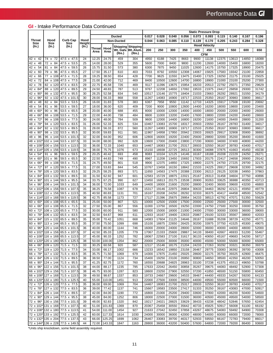#### **GI** - Intake Performance Data Continued

|                      |                                       |                                                                      |          | <b>Ducted</b> |              | <b>Static Pressure Drop</b> |                                          |                |       |       |       |       |                      |       |       |       |       |
|----------------------|---------------------------------------|----------------------------------------------------------------------|----------|---------------|--------------|-----------------------------|------------------------------------------|----------------|-------|-------|-------|-------|----------------------|-------|-------|-------|-------|
|                      |                                       |                                                                      |          |               |              |                             |                                          | 0.017          | 0.028 | 0.040 | 0.056 | 0.073 | 0.093                | 0.115 | 0.140 | 0.167 | 0.196 |
| <b>Throat</b>        | Hood                                  | <b>Curb Cap</b>                                                      | Hood     |               |              | Non-Ducted                  |                                          | 0.044          | 0.063 | 0.085 | 0.110 | 0.139 | 0.170                | 0.205 | 0.243 | 0.284 | 0.328 |
| Size                 | Size                                  | Size                                                                 | Height   |               |              |                             |                                          |                |       |       |       |       | <b>Hood Velocity</b> |       |       |       |       |
| (In.)                | (In.)                                 | (In.)                                                                | (In.)    | Throat        | Hood         |                             | Shipping Shipping<br>Wt. Galv. Wt. Alum. | 200            | 250   | 300   | 350   | 400   | 450                  | 500   | 550   | 600   | 650   |
|                      |                                       |                                                                      |          | Area          | Area         | (lbs.)                      | (lbs.)                                   |                |       |       |       |       | <b>CFM</b>           |       |       |       |       |
|                      |                                       |                                                                      |          |               |              |                             |                                          |                |       |       |       |       |                      |       |       |       |       |
| 42 x<br>42           | 74 x<br>72                            | 47.5 x 47.5                                                          | 24       | 12.25         | 24.75        | 459                         | 304                                      | 4950           | 6188  | 7425  | 8663  | 9900  | 11138                | 12375 | 13613 | 14850 | 16088 |
| 48<br>42 x           | 72 x<br>84                            | 47.5 x 53.5                                                          | 25       | 14.00         | 28.00        | 529                         | 355                                      | 5600           | 7000  | 8400  | 9800  | 11200 | 12600                | 14000 | 15400 | 16800 | 18200 |
| 54<br>42 x           | 81 x<br>84                            | 47.5 x 59.5                                                          | 26       | 15.75         | 31.50        | 573                         | 380                                      | 6300           | 7875  | 9450  | 11025 | 12600 | 14175                | 15750 | 17325 | 18900 | 20475 |
| 42 x<br>60           | 79 x<br>96                            | 47.5 x 65.5                                                          | 27       | 17.50         | 35.17        | 610                         | 403                                      | 7033           | 8792  | 10550 | 12308 | 14067 | 15825                | 17583 | 19342 | 21100 | 22858 |
| 66<br>42 x           | 77 x 108                              | 47.5 x 71.5                                                          | 28       | 19.25         | 38.50        | 654                         | 428                                      | 7700           | 9625  | 11550 | 13475 | 15400 | 17325                | 19250 | 21175 | 23100 | 25025 |
| 72<br>42 x           | 84<br>x 108                           | 47.5 x 77.5                                                          | 28       | 21.00         | 42.00        | 712                         | 469                                      | 8400           | 10500 | 12600 | 14700 | 16800 | 18900                | 21000 | 23100 | 25200 | 27300 |
| 42 x<br>78           | 82 x 120                              | 47.5 x 83.5                                                          | 29       | 22.75         | 45.58        | 726                         | 469                                      | 9117           | 11396 | 13675 | 15954 | 18233 | 20513                | 22792 | 25071 | 27350 | 29629 |
| $84^\circ$<br>42 x   | 88 x 120                              | 47.5 x 89.5                                                          | 29       | 24.50         | 48.83        | 787                         | 513                                      | 9767           | 12208 | 14650 | 17092 | 19533 | 21975                | 24417 | 26858 | 29300 | 31742 |
| 42 x<br>$90^{\circ}$ | 86 x 132                              | 47.5 x 95.5                                                          | 30       | 26.25         | 52.58        | 834                         | 540                                      | 10517          | 13146 | 15775 | 18404 | 21033 | 23663                | 26292 | 28921 | 31550 | 34179 |
| 42 x<br>96           | 92 x 132                              | 47.5 x 101.5                                                         | 30       | 28.00         | 56.33        | 868                         | 558                                      | 11267          | 14083 | 16900 | 19717 | 22533 | 25350                | 28167 | 30983 | 33800 | 36617 |
| 48<br>48 x           | 82 x 84                               | 53.5 x 53.5                                                          | 26       | 16.00         | 31.83        | 578                         | 383                                      | 6367           | 7958  | 9550  | 11142 | 12733 | 14325                | 15917 | 17508 | 19100 | 20692 |
| 54<br>48 x           | 81 x 96                               | 53.5 x 59.5                                                          | 27       | 18.00         | 36.00        | 620                         | 409                                      | 7200           | 9000  | 10800 | 12600 | 14400 | 16200                | 18000 | 19800 | 21600 | 23400 |
| $60^{\circ}$<br>48 x | 90<br>96<br>$\boldsymbol{\mathsf{x}}$ | 53.5 x 65.5                                                          | 28       | 20.00         | 40.00        | 688                         | 455                                      | 8000           | 10000 | 12000 | 14000 | 16000 | 18000                | 20000 | 22000 | 24000 | 26000 |
| 48 x<br>66           | 88<br>x 108                           | 53.5 x 71.5                                                          | 29       | 22.00         | 44.00        | 738                         | 484                                      | 8800           | 11000 | 13200 | 15400 | 17600 | 19800                | 22000 | 24200 | 26400 | 28600 |
| 48 x<br>$72^{\circ}$ | 96 x 108                              | 53.5 x 77.5                                                          | 30       | 24.00         | 48.00        | 784                         | 509                                      | 9600           | 12000 | 14400 | 16800 | 19200 | 21600                | 24000 | 26400 | 28800 | 31200 |
| 78'<br>48 x          | 94 x 120                              | 53.5 x 83.5                                                          | 31       | 26.00         | 52.33        | 825                         | 534                                      | 10467          | 13083 | 15700 | 18317 | 20933 | 23550                | 26167 | 28783 | 31400 | 34017 |
| 84'<br>48 x          | 92 x 132                              | 53.5 x 89.5                                                          | 31       | 28.00         | 56.33        | 872                         | 560                                      | 11267          | 14083 | 16900 | 19717 | 22533 | 25350                | 28167 | 30983 | 33800 | 36617 |
| $90^{\circ}$         | 98 x 132                              |                                                                      | 32       | 30.00         | 59.83        | 911                         | 581                                      | 11967          | 14958 | 17950 | 20942 | 23933 | 26925                | 29917 | 32908 | 35900 | 38892 |
| 48 x                 |                                       | 53.5 x 95.5                                                          | 32       |               |              |                             |                                          |                |       |       |       |       |                      |       |       |       |       |
| 48 x<br>96           | 96<br>x 144                           | 53.5 x 101.5                                                         |          | 32.00         | 64.00        | 952                         | 606                                      | 12800          | 16000 | 19200 | 22400 | 25600 | 28800                | 32000 | 35200 | 38400 | 41600 |
| 48 x 102°            | 102 x 144                             | 53.5 x 107.5                                                         | 33       | 34.00         | 68.00        | 992                         | 628                                      | 13600          | 17000 | 20400 | 23800 | 27200 | 30600                | 34000 | 37400 | 40800 | 44200 |
| 48 x 108'            | 100 x 156                             | 53.5 x 113.5                                                         | 33       | 36.00         | 72.33        | 1040                        | 653                                      | 14467          | 18083 | 21700 | 25317 | 28933 | 32550                | 36167 | 39783 | 43400 | 47017 |
| 48 x 114'            | 105 x 156                             | 53.5 x 119.5                                                         | 34       | 38.00         | 75.75        | 1076                        | 673                                      | 15150          | 18938 | 22725 | 26513 | 30300 | 34088                | 37875 | 41663 | 45450 | 49238 |
| 54 x<br>54'          | 91 x<br>96                            | 59.5 x 59.5                                                          | 29       | 20.25         | 40.42        | 693                         | 458                                      | 8083           | 10104 | 12125 | 14146 | 16167 | 18188                | 20208 | 22229 | 24250 | 26271 |
| 54 x<br>$60^{\circ}$ | 96<br>101 x                           | 59.5 x 65.5                                                          | 30       | 22.50         | 44.83        | 749                         | 490                                      | 8967           | 11208 | 13450 | 15692 | 17933 | 20175                | 22417 | 24658 | 26900 | 29142 |
| 54 x<br>66           | 99 x 108                              | 59.5 x 71.5                                                          | 31       | 24.75         | 49.50        | 801                         | 518                                      | 9900           | 12375 | 14850 | 17325 | 19800 | 22275                | 24750 | 27225 | 29700 | 32175 |
| 54 x<br>$72^\circ$   | 97 x 120                              | 59.5 x 77.5                                                          | 31       | 27.00         | 53.83        | 844                         | 545                                      | 10767          | 13458 | 16150 | 18842 | 21533 | 24225                | 26917 | 29608 | 32300 | 34992 |
| 54 x<br>78'          | 105 x 120                             | 59.5 x 83.5                                                          | 32       | 29.25         | 58.25        | 893                         | 571                                      | 11650          | 14563 | 17475 | 20388 | 23300 | 26213                | 29125 | 32038 | 34950 | 37863 |
| 54 x<br>84           | 103 x 132                             | 59.5 x 89.5                                                          | 33       | 31.50         | 62.92        | 947                         | 601                                      | 12583          | 15729 | 18875 | 22021 | 25167 | 28313                | 31458 | 34604 | 37750 | 40896 |
| $90*$<br>54 x        |                                       | 101 x 144 59.5 x 95.5                                                | 34       | 33.75         | 67.25        | 990                         | 627                                      | 13450          | 16813 | 20175 | 23538 | 26900 | 30263                | 33625 | 36988 | 40350 | 43713 |
| 54 x<br>96           | 108 x 144                             | 59.5 x 101.5                                                         | 34       | 36.00         | 72.00        | 1033                        | 649                                      | 14400          | 18000 | 21600 | 25200 | 28800 | 32400                | 36000 | 39600 | 43200 | 46800 |
| 54 x 102             | 106 x 156                             | 59.5 x 107.5                                                         | 35       | 38.25         | 76.58        | 1087                        | 678                                      | 15317          | 19146 | 22975 | 26804 | 30633 | 34463                | 38292 | 42121 | 45950 | 49779 |
| 54 x 108*            | 112 x 156                             | 59.5 x 113.5                                                         | 35       | 40.50         | 80.83        | 1131                        | 701                                      | 16167          | 20208 | 24250 | 28292 | 32333 | 36375                | 40417 | 44458 | 48500 | 52542 |
| 54 x 114             | 110 x 168                             | 59.5 x 119.5                                                         | 36       | 42.75         | 85.58        | 1173                        | 727                                      | 17117          | 21396 | 25675 | 29954 | 34233 | 38513                | 42792 | 47071 | 51350 | 55629 |
| 60'<br>60 x          | 100 x 108                             | 65.5 x 65.5                                                          | 31       | 25.00         | 50.00        | 807                         | 521                                      | 10000          | 12500 | 15000 | 17500 | 20000 | 22500                | 25000 | 27500 | 30000 | 32500 |
| 66<br>60 x           | 110 x 108                             | 65.5 x 71.5                                                          | 32       | 27.50         | 55.00        | 867                         | 556                                      | 11000          | 13750 | 16500 | 19250 | 22000 | 24750                | 27500 | 30250 | 33000 | 35750 |
| 72<br>60 x           | 108 x 120                             | 65.5 x 77.5                                                          | 33       | 30.00         | 60.00        | 911                         | 580                                      | 12000          | 15000 | 18000 | 21000 | 24000 | 27000                | 30000 | 33000 | 36000 | 39000 |
| 78'<br>60 x          | 106 x 132                             | 65.5 x 83.5                                                          | 34       | 32.50         | 64.67        | 968                         | 611                                      | 12933          | 16167 | 19400 | 22633 | 25867 | 29100                | 32333 | 35567 | 38800 | 42033 |
| 84<br>60 x           | 115 x 132                             | 65.5 x 89.5                                                          | 35       | 35.00         | 70.42        | 1051                        | 668                                      | 14083          | 17604 | 21125 | 24646 | 28167 | 31688                | 35208 | 38729 | 42250 | 45771 |
| $90^{\circ}$<br>60 x | 113 x 144                             | 65.5 x 95.5                                                          | 35       | 37.50         | 75.50        | 1099                        | 698                                      | 15100          | 18875 | 22650 | 26425 | 30200 | 33975                | 37750 | 41525 | 45300 | 49075 |
| 60 x 96              | 120 x 144                             | 65.5 x 101.5                                                         | 36       | 40.00         | 80.00        | 1144                        | 746                                      | 16000          | 20000 | 24000 | 28000 | 32000 | 36000                | 40000 | 44000 | 48000 | 52000 |
|                      |                                       |                                                                      |          |               | 42.50 85.33  | 1205                        |                                          |                | 21333 | 25600 | 29867 | 34133 | 38400                | 42667 | 46933 | 51200 | 55467 |
|                      |                                       | 60 x 102* 118 x 156 65.5 x 107.5<br>60 x 108* 116 x 168 65.5 x 113.5 | 37<br>37 | 45.00         | 90.33        | 1252                        | 779<br>782                               | 17067<br>18067 | 22583 | 27100 | 31617 | 36133 | 40650                | 45167 | 49683 | 54200 | 58717 |
|                      |                                       | 60 x 120* 120 x 180 65.5 x 125.5                                     | 38       | 50.00         |              | 1354                        | 862                                      |                |       |       |       |       |                      |       |       | 60000 |       |
|                      |                                       |                                                                      |          |               | 100.00       |                             |                                          | 20000          | 25000 | 30000 | 35000 | 40000 | 45000                | 50000 | 55000 |       | 65000 |
|                      |                                       | 66 x 66* 109 x 120 71.5 x 71.5                                       | 33       | 30.25         | 60.58        | 920                         | 587                                      | 12117          | 15146 | 18175 | 21204 | 24233 | 27263                | 30292 | 33321 | 36350 | 39379 |
|                      |                                       | 66 x 72* 119 x 120 71.5 x 77.5                                       | 34       | 33.00         | 66.17        | 1002                        | 666                                      | 13233          | 16542 | 19850 | 23158 | 26467 | 29775                | 33083 | 36392 | 39700 | 43008 |
|                      |                                       | 66 x 78* 117 x 132 71.5 x 83.5                                       | 35       | 35.75         | 71.50        | 1069                        | 679                                      | 14300          | 17875 | 21450 | 25025 | 28600 | 32175                | 35750 | 39325 | 42900 | 46475 |
|                      |                                       | 66 x 84* 126 x 132 71.5 x 89.5                                       | 36       | 38.50         | 77.00        | 1124                        | 734                                      | 15400          | 19250 | 23100 | 26950 | 30800 | 34650                | 38500 | 42350 | 46200 | 50050 |
|                      |                                       | 66 x 90* 124 x 144 71.5 x 95.5                                       | 37       | 41.25         | 82.75        | 1172                        | 760                                      | 16550          | 20688 | 24825 | 28963 | 33100 | 37238                | 41375 | 45513 | 49650 | 53788 |
|                      |                                       | 66 x 96* 122 x 156 71.5 x 101.5                                      | 38       | 44.00         | 88.17        | 1235                        | 795                                      | 17633          | 22042 | 26450 | 30858 | 35267 | 39675                | 44083 | 48492 | 52900 | 57308 |
|                      |                                       | 66 x 102* 129 x 156 71.5 x 107.5                                     | 38       | 46.75         | 93.00        | 1287                        | 823                                      | 18600          | 23250 | 27900 | 32550 | 37200 | 41850                | 46500 | 51150 | 55800 | 60450 |
|                      |                                       | 66 x 108* 127 x 168 71.5 x 113.5                                     | 39       | 49.50         | 98.67        | 1337                        | 853                                      | 19733          | 24667 | 29600 | 34533 | 39467 | 44400                | 49333 | 54267 | 59200 | 64133 |
|                      |                                       | 66 x 120* 132 x 180 71.5 x 125.5                                     | 40       | 55.00         | 110.00       | 1451                        | 913                                      | 22000          | 27500 | 33000 | 38500 | 44000 | 49500                | 55000 | 60500 | 66000 | 71500 |
|                      |                                       | 72 x 72* 126 x 120 77.5 x 77.5                                       | 35       | 36.00         | 69.00        | 1069                        | 704                                      | 14467          | 18083 | 21700 | 25317 | 28933 | 32550                | 36167 | 39783 | 43400 | 47017 |
|                      |                                       | 72 x 78* 127 x 132 77.5 x 83.5                                       | 36       | 39.00         | 77.42        | 1137                        | 741                                      | 15667          | 19583 | 23500 | 27417 | 31333 | 35250                | 39167 | 43083 | 47000 | 50917 |
|                      |                                       | 72 x 84* 126 x 144 77.5 x 89.5                                       | 37       | 42.00         | 84.00        | 1190                        | 772                                      | 16800          | 21000 | 25200 | 29400 | 33600 | 37800                | 42000 | 46200 | 50400 | 54600 |
|                      |                                       | 72 x 90* 129 x 144 77.5 x 95.5                                       | 38       | 45.00         | 84.00        | 1252                        | 806                                      | 18000          | 22500 | 27000 | 31500 | 36000 | 40500                | 45000 | 49500 | 54000 | 58500 |
|                      |                                       | 72 x 96* 130 x 156 77.5 x 101.5                                      | 39       | 48.00         | 92.83        | 1320                        | 842                                      | 19217          | 24021 | 28825 | 33629 | 38433 | 43238                | 48042 | 52846 | 57650 | 62454 |
|                      |                                       | 72 x 102* 131 x 168 77.5 x 107.5                                     | 40       | 51.00         | 101.83       | 1369                        | 870                                      | 20367          | 25458 | 30550 | 35642 | 40733 | 45825                | 50917 | 56008 | 61100 | 66192 |
|                      |                                       | 72 x 108* 132 x 180 77.5 x 113.5                                     | 41       | 54.00         | 111.00       | 1454                        | 927                                      | 21633          | 27042 | 32450 | 37858 | 43267 | 48675                | 54083 | 59492 | 64900 | 70308 |
|                      |                                       | 72 x 120* 133 x 192 77.5 x 125.5                                     | 42       | 60.00         | 117.33       | 1614                        | 1030                                     | 24000          | 30000 | 36000 | 42000 | 48000 | 54000                | 60000 | 66000 | 72000 | 78000 |
|                      |                                       | 72 x 132* 135 x 204 77.5 x 137.5                                     | 43       | 66.00         | 125.25       | 1699                        | 1062                                     | 26467          | 33083 | 39700 | 46317 | 52933 | 59550                | 66167 | 72783 | 79400 | 86017 |
|                      |                                       | 72 x 144* 136 x 228 77.5 x 149.5                                     | 44       |               | 72.00 143.33 | 1847                        | 1163                                     | 28800          | 36000 | 43200 | 50400 | 57600 | 64800                | 72000 | 79200 | 86400 | 93600 |
|                      |                                       |                                                                      |          |               |              |                             |                                          |                |       |       |       |       |                      |       |       |       |       |

\*Units ship knockdown, some field assembly required.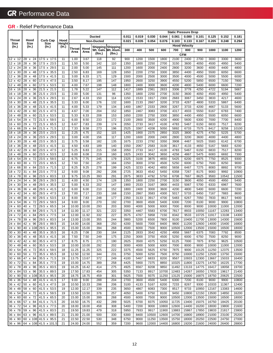## GR Performance Data

#### **GR** - Relief Performance Data

|            |                                       |                               |        |          |                             |                   |                              |       |       |       |       | <b>Static Pressure Drop</b> |                      |       |       |       |       |
|------------|---------------------------------------|-------------------------------|--------|----------|-----------------------------|-------------------|------------------------------|-------|-------|-------|-------|-----------------------------|----------------------|-------|-------|-------|-------|
|            |                                       |                               |        |          | <b>Ducted</b><br>Non-Ducted |                   |                              | 0.011 | 0.019 | 0.030 | 0.044 | 0.061                       | 0.080                | 0.101 | 0.125 | 0.152 | 0.181 |
| Throat     | Hood                                  | <b>Curb Cap</b>               | Hood   |          |                             |                   |                              | 0.021 | 0.035 | 0.054 | 0.076 | 0.103                       | 0.133                | 0.167 | 0.205 | 0.248 | 0.294 |
| Size       | Size                                  | Size                          | Height |          |                             |                   |                              |       |       |       |       |                             | <b>Hood Velocity</b> |       |       |       |       |
| (In.)      | (In.)                                 | (In.)                         | (In.)  | Throat l | Hood                        | Shipping Shipping |                              |       | 400   | 500   |       | 700                         |                      | 900   | 1000  | 1100  | 1200  |
|            |                                       |                               |        | Area     | Area                        | (lbs.)            | Wt. Galv. Wt. Alum<br>(lbs.) | 300   |       |       | 600   |                             | 800                  |       |       |       |       |
|            |                                       |                               |        |          |                             |                   |                              |       |       |       |       |                             | <b>CFM</b>           |       |       |       |       |
| 12x<br>12  | 28<br>24<br>x                         | $17.5 \times$<br>17.5         | 11     | 1.00     | 3.67                        | 118               | 92                           | 900   | 1200  | 1500  | 1800  | 2100                        | 2400                 | 2700  | 3000  | 3300  | 3600  |
| 12x<br>18  | 28<br>36<br>x                         | 23.5<br>$17.5 \times$         | 11     | 1.50     | 5.50                        | 142               | 110                          | 1350  | 1800  | 2250  | 2700  | 3150                        | 3600                 | 4050  | 4500  | 4950  | 5400  |
| 24<br>12x  | 28 x 36                               | 17.5 x 29.5                   | 11     | 2.00     | 5.00                        | 145               | 111                          | 1200  | 1600  | 2000  | 2400  | 2800                        | 3200                 | 3600  | 4000  | 4400  | 4800  |
| 12x<br>30  | 28<br>48<br>$\boldsymbol{\mathsf{x}}$ | $17.5 \times$<br>35.5         | 11     | 2.50     | 6.83                        | 169               | 128                          | 1650  | 2200  | 2750  | 3300  | 3850                        | 4400                 | 4950  | 5500  | 6050  | 6600  |
| 36<br>12x  | 28<br>48<br>$\boldsymbol{\mathsf{x}}$ | 17.5 x 41.5                   | 11     | 3.00     | 6.33                        | 171               | 129                          | 1500  | 2000  | 2500  | 3000  | 3500                        | 4000                 | 4500  | 5000  | 5500  | 6000  |
| 42<br>12 x | 28<br>x 60                            | 17.5 x 47.5                   | 11     | 3.50     | 8.17                        | 195               | 147                          | 1950  | 2600  | 3250  | 3900  | 4550                        | 5200                 | 5850  | 6500  | 7150  | 7800  |
| 12x<br>48  | 28 x<br>60                            | 17.5 x 53.5                   | 11     | 4.00     | 7.67                        | 198               | 148                          | 1800  | 2400  | 3000  | 3600  | 4200                        | 4800                 | 5400  | 6000  | 6600  | 7200  |
| 16x<br>16  | 28<br>36<br>$\mathsf{x}$              | 21.5 x 21.5                   | 11     | 1.78     | 5.22                        | 147               | 112                          | 1417  | 1889  | 2361  | 2833  | 3306                        | 3778                 | 4250  | 4722  | 5194  | 5667  |
| 16x<br>18  | 28<br>36<br>$\boldsymbol{\mathsf{x}}$ | 21.5 x 23.5                   | 11     | 2.00     | 5.00                        | 131               | 96                           | 1350  | 1800  | 2250  | 2700  | 3150                        | 3600                 | 4050  | 4500  | 4950  | 5400  |
| 16x<br>24  | 28<br>36<br>X                         | 21.5 x 29.5                   | 11     | 2.67     | 4.33                        | 150               | 114                          | 1150  | 1533  | 1917  | 2300  | 2683                        | 3067                 | 3450  | 3833  | 4217  | 4600  |
| 30<br>16 x | 28<br>48<br>x                         | 21.5 x 35.5                   | 11     | 3.33     | 6.00                        | 176               | 132                          | 1600  | 2133  | 2667  | 3200  | 3733                        | 4267                 | 4800  | 5333  | 5867  | 6400  |
| 16x<br>36  | 28<br>48<br>$\boldsymbol{\mathsf{x}}$ | 21.5 x 41.5                   | 11     | 4.00     | 5.33                        | 179               | 134                          | 1400  | 1867  | 2333  | 2800  | 3267                        | 3733                 | 4200  | 4667  | 5133  | 5600  |
| 42<br>16x  | 28<br>x 60                            | 21.5 x 47.5                   | 11     | 4.67     | 7.00                        | 204               | 152                          | 1850  | 2467  | 3083  | 3700  | 4317                        | 4933                 | 5550  | 6167  | 6783  | 7400  |
| 48<br>16x  | 28<br>x 60                            | $21.5 \times$<br>53.5         | 11     | 5.33     | 6.33                        | 208               | 153                          | 1650  | 2200  | 2750  | 3300  | 3850                        | 4400                 | 4950  | 5500  | 6050  | 6600  |
| 54<br>16x  | 29<br>x 72                            | 21.5 x 59.5                   | 11     | 6.00     | 8.50                        | 233               | 172                          | 2100  | 2800  | 3500  | 4200  | 4900                        | 5600                 | 6300  | 7000  | 7700  | 8400  |
| 60<br>16x  | 29<br>x 72                            | 21.5 x 65.5                   | 12     | 6.67     | 7.83                        | 239               | 174                          | 2050  | 2733  | 3417  | 4100  | 4783                        | 5467                 | 6150  | 6833  | 7517  | 8200  |
| 16x<br>66  | 29<br>x 84                            | 21.5 x 71.5                   | 12     | 7.33     | 9.58                        | 273               | 196                          | 2525  | 3367  | 4208  | 5050  | 5892                        | 6733                 | 7575  | 8417  | 9258  | 10100 |
| 18 x<br>18 | 28<br>x 36                            | 23.5 x 23.5                   | 11     | 2.25     | 4.75                        | 152               | 115                          | 1425  | 1900  | 2375  | 2850  | 3325                        | 3800                 | 4275  | 4750  | 5225  | 5700  |
| 24<br>18 x | 28<br>36<br>$\mathsf{x}$              | 23.5 x 29.5                   | 11     | 3.00     | 4.00                        | 156               | 117                          | 1200  | 1600  | 2000  | 2400  | 2800                        | 3200                 | 3600  | 4000  | 4400  | 4800  |
| 18x<br>30  | 28 x<br>48                            | 35.5<br>$23.5 \times$         | 11     | 3.75     | 5.58                        | 182               | 135                          | 1675  | 2233  | 2792  | 3350  | 3908                        | 4467                 | 5025  | 5583  | 6142  | 6700  |
| 36         | x 48<br>28                            | 23.5 x 41.5                   | 11     | 4.50     | 4.83                        | 189               | 140                          | 1550  | 2067  | 2583  | 3100  | 3617                        | 4133                 | 4650  | 5167  | 5683  | 6200  |
| 18 x       | 29<br>x 60                            | $23.5 \times$<br>47.5         | 12     | 5.25     | 6.83                        | 215               | 158                          | 2050  | 2733  | 3417  | 4100  | 4783                        | 5467                 | 6150  | 6833  | 7517  | 8200  |
| 42<br>18 x |                                       |                               |        |          |                             |                   |                              |       |       |       |       |                             |                      |       |       |       |       |
| 18x<br>48  | 29<br>x 60                            | 23.5 x 53.5                   | 12     | 6.00     | 6.08                        | 219               | 160                          | 1825  | 2433  | 3042  | 3650  | 4258                        | 4867                 | 5475  | 6083  | 6692  | 7300  |
| 54<br>18 x | 29 x<br>-72                           | 23.5 x 59.5                   | 12     | 6.75     | 7.75                        | 245               | 179                          | 2325  | 3100  | 3875  | 4650  | 5425                        | 6200                 | 6975  | 7750  | 8525  | 9300  |
| 18x<br>60  | 30<br>x 72                            | 23.5 x 65.5                   | 12     | 7.50     | 7.50                        | 257               | 184                          | 2250  | 3000  | 3750  | 4500  | 5250                        | 6000                 | 6750  | 7500  | 8250  | 9000  |
| 18 x<br>66 | x 84<br>30                            | 23.5 x 71.5                   | 12     | 8.25     | 9.25                        | 278               | 199                          | 2425  | 3233  | 4042  | 4850  | 5658                        | 6467                 | 7275  | 8083  | 8892  | 9700  |
| 72<br>18 x | 31<br>x 84                            | 23.5 x 77.5                   | 12     | 9.00     | 9.08                        | 292               | 206                          | 2725  | 3633  | 4542  | 5450  | 6358                        | 7267                 | 8175  | 9083  | 9992  | 10900 |
| 18 x<br>78 | 30<br>x 96                            | 23.5 x 83.5                   | 13     | 9.75     | 10.25                       | 393               | 291                          | 2875  | 3833  | 4792  | 5750  | 6708                        | 7667                 | 8625  | 9583  | 10542 | 11500 |
| 24<br>24 x | 34<br>36<br>$\boldsymbol{\mathsf{x}}$ | 29.5 x 29.5                   | 11     | 4.00     | 4.50                        | 174               | 128                          | 1350  | 1800  | 2250  | 2700  | 3150                        | 3600                 | 4050  | 4500  | 4950  | 5400  |
| 30<br>24x  | 34<br>48<br>X                         | 29.5 x<br>35.5                | 12     | 5.00     | 6.33                        | 202               | 147                          | 1900  | 2533  | 3167  | 3800  | 4433                        | 5067                 | 5700  | 6333  | 6967  | 7600  |
| 24 x<br>36 | 48<br>36<br>X                         | 29.5 x 41.5                   | 12     | 6.00     | 6.00                        | 210               | 152                          | 1800  | 2400  | 3000  | 3600  | 4200                        | 4800                 | 5400  | 6000  | 6600  | 7200  |
| 42<br>24 x | 34<br>x 60                            | 29.5 x 47.5                   | 13     | 7.00     | 7.17                        | 233               | 168                          | 2150  | 2867  | 3583  | 4300  | 5017                        | 5733                 | 6450  | 7167  | 7883  | 8600  |
| 24x<br>48  | 38<br>60<br>$\mathsf{x}$              | 53.5<br>$29.5 \times$         | 13     | 8.00     | 7.83                        | 248               | 177                          | 2350  | 3133  | 3917  | 4700  | 5483                        | 6267                 | 7050  | 7833  | 8617  | 9400  |
| 54<br>24 x | 36<br>x 72                            | 29.5 x 59.5                   | 14     | 9.00     | 9.00                        | 270               | 192                          | 2700  | 3600  | 4500  | 5400  | 6300                        | 7200                 | 8100  | 9000  | 9900  | 10800 |
| 24 x<br>60 | 40<br>72<br>X                         | 29.5 x 65.5                   | 14     | 10.00    | 10.00                       | 293               | 203                          | 3000  | 4000  | 5000  | 6000  | 7000                        | 8000                 | 9000  | 10000 | 11000 | 12000 |
| 24 x<br>66 | 38<br>84<br>X                         | 29.5 x 71.5                   | 14     | 11.00    | 11.17                       | 321               | 222                          | 3350  | 4467  | 5583  | 6700  | 7817                        | 8933                 | 10050 | 11167 | 12283 | 13400 |
| 72<br>24x  | 84<br>41<br>X                         | 29.5 x 77.5                   | 14     | 12.00    | 11.92                       | 332               | 227                          | 3575  | 4767  | 5958  | 7150  | 8342                        | 9533                 | 10725 | 11917 | 13108 | 14300 |
| 78<br>24 x | 39<br>x 96                            | 29.5 x 83.5                   | 14     | 13.00    | 13.00                       | 355               | 244                          | 3900  | 5200  | 6500  | 7800  | 9100                        | 10400                | 11700 | 13000 | 14300 | 15600 |
| 24 x<br>84 | 42<br>x 96                            | 29.5 x 89.5                   | 15     | 14.00    | 14.00                       | 368               | 250                          | 4200  | 5600  | 7000  | 8400  | 9800                        | 11200                | 12600 | 14000 | 15400 | 16800 |
| 24 x 90    | 40 x 108                              | 29.5 x 95.5                   | 15     | 15.00    | 15.00                       | 394               | 268                          | 4500  | 6000  | 7500  | 9000  | 10500                       | 12000                | 13500 | 15000 | 16500 | 18000 |
|            |                                       | 30 x 30 40 x 48 35.5 x 35.5   | 16     | 6.25     | 7.08                        | 230               | 164                          | 2125  | 2833  | 3542  | 4250  | 4958                        | 5667                 | 6375  | 7083  | 7792  | 8500  |
|            | 30 x 36 45 x 48                       | 35.5 x 41.5                   | 16     | 7.50     | 7.50                        | 249               | 175                          | 2250  | 3000  | 3750  | 4500  | 5250                        | 6000                 | 6750  | 7500  | 8250  | 9000  |
| 30 x 42    | 42 x 60                               | 35.5 x 47.5                   | 17     | 8.75     | 8.75                        | 271               | 190                          | 2625  | 3500  | 4375  | 5250  | 6125                        | 7000                 | 7875  | 8750  | 9625  | 10500 |
|            | 30 x 48 48 x 60                       | 35.5 x 53.5                   | 18     | 10.00    | 10.00                       | 292               | 202                          | 3000  | 4000  | 5000  | 6000  | 7000                        | 8000                 | 9000  | 10000 | 11000 | 12000 |
|            | 30 x 54 45 x 72                       | 35.5 x 59.5                   | 18     | 11.25    | 11.25                       | 325               | 222                          | 3375  | 4500  | 5625  | 6750  | 7875                        | 9000                 | 10125 | 11250 | 12375 | 13500 |
|            | 30 x 60 50 x 72                       | 35.5 x 65.5                   | 18     | 12.50    | 12.50                       | 344               | 231                          | 3750  | 5000  | 6250  | 7500  | 8750                        | 10000                | 11250 | 12500 | 13750 | 15000 |
| 30 x 66    | 47 x 84                               | 35.5 x 71.5                   | 19     | 13.75    | 13.67                       | 372               | 249                          | 4100  | 5467  | 6833  | 8200  | 9567                        | 10933                | 12300 | 13667 | 15033 | 16400 |
|            |                                       | 30 x 72 51 x 84 35.5 x 77.5   | 19     | 15.00    | 14.75                       | 389               | 258                          | 4425  | 5900  | 7375  | 8850  | 10325                       | 11800                | 13275 | 14750 | 16225 | 17700 |
|            | 30 x 78 49 x 96                       | 35.5 x 83.5                   | 19     | 16.25    | 16.42                       | 414               | 275                          | 4925  | 6567  | 8208  | 9850  | 11492                       | 13133                | 14775 | 16417 | 18058 | 19700 |
|            | 30 x 84 53 x 96                       | 35.5 x 89.5                   | 19     | 17.50    | 17.83                       | 454               | 305                          | 5350  | 7133  | 8917  | 10700 | 12483                       | 14267                | 16050 | 17833 | 19617 | 21400 |
|            | 30 x 90 50 x 108                      | 35.5 x 95.5                   | 20     | 18.75    | 18.75                       | 459               | 301                          | 5625  | 7500  | 9375  | 11250 | 13125                       | 15000                | 16875 | 18750 | 20625 | 22500 |
|            | 36 x 36 54 x 48                       | 41.5 x 41.5                   | 17     | 9.00     | 9.00                        | 288               | 204                          | 2700  | 3600  | 4500  | 5400  | 6300                        | 7200                 | 8100  | 9000  | 9900  | 10800 |
|            | 36 x 42 50 x 60                       | 41.5 x 47.5                   | 18     | 10.50    | 10.33                       | 298               | 206                          | 3100  | 4133  | 5167  | 6200  | 7233                        | 8267                 | 9300  | 10333 | 11367 | 12400 |
|            | 36 x 48 58 x 60                       | 41.5 x 53.5                   | 19     | 12.00    | 12.17                       | 339               | 235                          | 3650  | 4867  | 6083  | 7300  | 8517                        | 9733                 | 10950 | 12167 | 13383 | 14600 |
| 36 x 54    | 54 x 72                               | 41.5 x 59.5                   | 19     | 13.50    | 13.50                       | 376               | 257                          | 4050  | 5400  | 6750  | 8100  | 9450                        | 10800                | 12150 | 13500 | 14850 | 16200 |
|            |                                       | 36 x 60 60 x 72 41.5 x 65.5   | 20     | 15.00    | 15.00                       | 399               | 268                          | 4500  | 6000  | 7500  | 9000  | 10500                       | 12000                | 13500 | 15000 | 16500 | 18000 |
|            |                                       | 36 x 66 57 x 84 41.5 x 71.5   | 20     | 16.50    | 16.75                       | 432               | 289                          | 5025  | 6700  | 8375  | 10050 | 11725                       | 13400                | 15075 | 16750 | 18425 | 20100 |
|            |                                       |                               | 20     | 18.00    | 18.00                       | 458               | 308                          | 5400  | 7200  | 9000  | 10800 | 12600                       | 14400                | 16200 | 18000 | 19800 | 21600 |
|            |                                       | 36 x 72 54 x 96 41.5 x 77.5   | 21     |          |                             |                   |                              |       |       |       |       |                             |                      |       |       |       |       |
|            |                                       | 36 x 78 59 x 96 41.5 x 83.5   |        | 19.50    | 19.83                       | 479               | 318                          | 5950  | 7933  | 9917  | 11900 | 13883                       | 15867                | 17850 | 19833 | 21817 | 23800 |
| 36 x 84    | 63 x 96                               | 41.5 x 89.5                   | 21     | 21.00    | 21.00                       | 500               | 330                          | 6300  | 8400  | 10500 | 12600 | 14700                       | 16800                | 18900 | 21000 | 23100 | 25200 |
| 36 x 90    |                                       | 60 x 108 41.5 x 95.5          | 21     | 22.50    | 22.50                       | 530               | 348                          | 6750  | 9000  | 11250 | 13500 | 15750                       | 18000                | 20250 | 22500 | 24750 | 27000 |
|            |                                       | 36 x 96 64 x 108 41.5 x 101.5 | 21     | 24.00    | 24.00                       | 552               | 359                          | 7200  | 9600  | 12000 | 14400 | 16800                       | 19200                | 21600 | 24000 | 26400 | 28800 |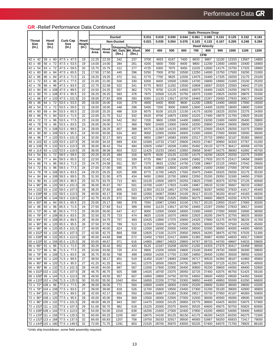### **GR** -Relief Performance Data Continued

|              |                                       |                                  |        |        |                                    |        | <b>Static Pressure Drop</b> |       |       |       |       |       |                      |       |       |       |       |
|--------------|---------------------------------------|----------------------------------|--------|--------|------------------------------------|--------|-----------------------------|-------|-------|-------|-------|-------|----------------------|-------|-------|-------|-------|
|              |                                       |                                  |        |        | <b>Ducted</b><br><b>Non-Ducted</b> |        |                             | 0.011 | 0.019 | 0.030 | 0.044 | 0.061 | 0.080                | 0.101 | 0.125 | 0.152 | 0.181 |
| Throat       | Hood                                  | <b>Curb Cap</b>                  | Hood   |        |                                    |        |                             |       |       |       |       |       |                      |       |       |       |       |
| Size         | Size                                  | Size                             | Height |        |                                    |        |                             | 0.021 | 0.035 | 0.054 | 0.076 | 0.103 | 0.133                | 0.167 | 0.205 | 0.248 | 0.294 |
| (In.)        | (In.)                                 | (In.)                            | (In.)  |        |                                    |        | Shipping Shipping           |       |       |       |       |       | <b>Hood Velocity</b> |       |       |       |       |
|              |                                       |                                  |        | Throat | Hood<br>Area                       |        | Wt. Galv. Wt. Alum.         | 300   | 400   | 500   | 600   | 700   | 800                  | 900   | 1000  | 1100  | 1200  |
|              |                                       |                                  |        | Area   |                                    | (lbs.) | (lbs.)                      |       |       |       |       |       | <b>CFM</b>           |       |       |       |       |
| 42 x<br>42   | 59<br>60<br>$\boldsymbol{\mathsf{x}}$ | 47.5 x<br>47.5                   | 19     | 12.25  | 12.33                              | 342    | 237                         | 3700  | 4933  | 6167  | 7400  | 8633  | 9867                 | 11100 | 12333 | 13567 | 14800 |
|              |                                       |                                  |        |        |                                    |        |                             |       |       |       |       |       |                      |       |       |       |       |
| 42 x<br>48   | 56<br>72<br>$\mathsf{x}$              | 47.5 x<br>53.5                   | 19     | 14.00  | 14.00                              | 384    | 261                         | 4200  | 5600  | 7000  | 8400  | 9800  | 11200                | 12600 | 14000 | 15400 | 16800 |
| 54<br>42 x   | 72<br>63 x                            | 59.5<br>47.5 x                   | 20     | 15.75  | 15.75                              | 412    | 277                         | 4725  | 6300  | 7875  | 9450  | 11025 | 12600                | 14175 | 15750 | 17325 | 18900 |
| 42 x<br>60   | 84<br>60<br>$\mathsf{x}$              | 47.5 x 65.5                      | 21     | 17.50  | 17.50                              | 445    | 296                         | 5250  | 7000  | 8750  | 10500 | 12250 | 14000                | 15750 | 17500 | 19250 | 21000 |
| 42 x<br>66   | 84<br>66<br>X                         | 71.5<br>47.5 x                   | 21     | 19.25  | 19.25                              | 472    | 311                         | 5775  | 7700  | 9625  | 11550 | 13475 | 15400                | 17325 | 19250 | 21175 | 23100 |
| 72<br>42 x   | 96<br>63<br>$\boldsymbol{\mathsf{x}}$ | 77.5<br>47.5 x                   | 22     | 21.00  | 21.00                              | 500    | 330                         | 6300  | 8400  | 10500 | 12600 | 14700 | 16800                | 18900 | 21000 | 23100 | 25200 |
| 42 x<br>78   | 96<br>68 x                            | 47.5 x 83.5                      | 22     | 22.75  | 22.58                              | 522    | 341                         | 6775  | 9033  | 11292 | 13550 | 15808 | 18067                | 20325 | 22583 | 24842 | 27100 |
| 84<br>42 x   | 65 x 108                              | 47.5 x 89.5                      | 22     | 24.50  | 24.25                              | 557    | 362                         | 7275  | 9700  | 12125 | 14550 | 16975 | 19400                | 21825 | 24250 | 26675 | 29100 |
| 90<br>42 x   | 70<br>x 108                           | 47.5 $\times$<br>95.5            | 23     | 26.25  | 26.25                              | 583    | 376                         | 7875  | 10500 | 13125 | 15750 | 18375 | 21000                | 23625 | 26250 | 28875 | 31500 |
| 96           |                                       | 47.5 x 101.5                     | 23     | 28.00  |                                    | 608    | 393                         | 8350  | 11133 | 13917 | 16700 |       | 22267                | 25050 | 27833 | 30617 | 33400 |
| 42 x         | 67<br>x 120                           |                                  |        |        | 27.83                              |        |                             |       |       |       |       | 19483 |                      |       |       |       |       |
| 48<br>48 x   | 64<br>72<br>$\mathsf{x}$              | 53.5 x 53.5                      | 20     | 16.00  | 16.00                              | 416    | 279                         | 4800  | 6400  | 8000  | 9600  | 11200 | 12800                | 14400 | 16000 | 17600 | 19200 |
| 54<br>48 x   | 72 x<br>72                            | 53.5 x 59.5                      | 21     | 18.00  | 18.00                              | 448    | 296                         | 5400  | 7200  | 9000  | 10800 | 12600 | 14400                | 16200 | 18000 | 19800 | 21600 |
| 60<br>48 x   | 84<br>69<br>$\mathsf{x}$              | 53.5 x 65.5                      | 22     | 20.00  | 20.25                              | 486    | 319                         | 6075  | 8100  | 10125 | 12150 | 14175 | 16200                | 18225 | 20250 | 22275 | 24300 |
| 66<br>48 x   | 75<br>84<br>$\boldsymbol{\mathsf{x}}$ | $53.5 \times$<br>71.5            | 22     | 22.00  | 21.75                              | 512    | 332                         | 6525  | 8700  | 10875 | 13050 | 15225 | 17400                | 19575 | 21750 | 23925 | 26100 |
| 48 x<br>72   | 72 x<br>96                            | $53.5 \times$<br>77.5            | 23     | 24.00  | 24.00                              | 542    | 352                         | 7200  | 9600  | 12000 | 14400 | 16800 | 19200                | 21600 | 24000 | 26400 | 28800 |
| 78<br>48 x   | 78<br>96<br>$\boldsymbol{\mathsf{x}}$ | 53.5 x 83.5                      | 23     | 26.00  | 26.00                              | 571    | 368                         | 7800  | 10400 | 13000 | 15600 | 18200 | 20800                | 23400 | 26000 | 28600 | 31200 |
| 84<br>48 x   | 75 x 108                              | 53.5 x 89.5                      | 24     | 28.00  | 28.25                              | 607    | 388                         | 8475  | 11300 | 14125 | 16950 | 19775 | 22600                | 25425 | 28250 | 31075 | 33900 |
| 90<br>48 x   | 80<br>x 108                           | 53.5x<br>95.5                    | 24     | 30.00  | 30.00                              | 634    | 402                         | 9000  | 12000 | 15000 | 18000 | 21000 | 24000                | 27000 | 30000 | 33000 | 36000 |
|              |                                       |                                  |        |        |                                    |        |                             |       |       |       |       |       |                      |       |       |       |       |
| 96<br>48 x   | x 120<br>77                           | 53.5 x 101.5                     | 24     | 32.00  | 32.17                              | 663    | 422                         | 9650  | 12867 | 16083 | 19300 | 22517 | 25733                | 28950 | 32167 | 35383 | 38600 |
| 48 x<br>-102 | 82 x 120                              | 53.5 x 107.5                     | 25     | 34.00  | 34.33                              | 689    | 434                         | 10300 | 13733 | 17167 | 20600 | 24033 | 27467                | 30900 | 34333 | 37767 | 41200 |
| 48 x 108     | 79<br>x 132                           | 53.5 x 113.5                     | 25     | 36.00  | 36.42                              | 754    | 484                         | 10925 | 14567 | 18208 | 21850 | 25492 | 29133                | 32775 | 36417 | 40058 | 43700 |
| 48 x<br>114  | 83<br>x 132                           | 53.5 x 119.5                     | 25     | 38.00  | 38.08                              | 803    | 522                         | 11425 | 15233 | 19042 | 22850 | 26658 | 30467                | 34275 | 38083 | 41892 | 45700 |
| 54 x<br>54   | 81<br>x 72                            | 59.5 x 59.5                      | 22     | 20.25  | 20.25                              | 484    | 316                         | 6075  | 8100  | 10125 | 12150 | 14175 | 16200                | 18225 | 20250 | 22275 | 24300 |
| 60<br>54 x   | 84<br>77<br>X                         | 59.5 x 65.5                      | 22     | 22.50  | 22.42                              | 522    | 339                         | 6725  | 8967  | 11208 | 13450 | 15692 | 17933                | 20175 | 22417 | 24658 | 26900 |
| 54 x<br>66   | 74<br>96<br>$\mathsf{x}$              | 59.5 x<br>71.5                   | 23     | 24.75  | 24.58                              | 551    | 357                         | 7375  | 9833  | 12292 | 14750 | 17208 | 19667                | 22125 | 24583 | 27042 | 29500 |
| 72<br>54 x   | 81<br>96<br>X                         | 59.5 x 77.5                      | 24     | 27.00  | 27.00                              | 585    | 375                         | 8100  | 10800 | 13500 | 16200 | 18900 | 21600                | 24300 | 27000 | 29700 | 32400 |
|              |                                       |                                  |        |        |                                    | 625    |                             |       |       |       |       |       |                      |       |       |       |       |
| 78<br>54 x   | 78<br>x 108                           | 59.5 x 83.5                      | 24     | 29.25  | 29.25                              |        | 398                         | 8775  | 11700 | 14625 | 17550 | 20475 | 23400                | 26325 | 29250 | 32175 | 35100 |
| 84<br>54 x   | 84<br>x 108                           | 89.5<br>$59.5 \times$            | 25     | 31.50  | 31.50                              | 675    | 434                         | 9450  | 12600 | 15750 | 18900 | 22050 | 25200                | 28350 | 31500 | 34650 | 37800 |
| 90<br>54 x   | x 120<br>81                           | 59.5 x 95.5                      | 25     | 33.75  | 33.75                              | 713    | 461                         | 10125 | 13500 | 16875 | 20250 | 23625 | 27000                | 30375 | 33750 | 37125 | 40500 |
| 54 x<br>-96  | 86<br>x 120                           | 59.5 x 101.5                     | 26     | 36.00  | 35.67                              | 767    | 501                         | 10700 | 14267 | 17833 | 21400 | 24967 | 28533                | 32100 | 35667 | 39233 | 42800 |
| 54 x<br>102  | 83<br>x 132                           | 59.5 x 107.5                     | 26     | 38.25  | 37.83                              | 805    | 523                         | 11350 | 15133 | 18917 | 22700 | 26483 | 30267                | 34050 | 37833 | 41617 | 45400 |
| 54 x 108     | 88<br>x 132                           | 59.5 x 113.5                     | 26     | 40.50  | 40.17                              | 836    | 540                         | 12050 | 16067 | 20083 | 24100 | 28117 | 32133                | 36150 | 40167 | 44183 | 48200 |
| 54 x 114     | 86<br>x 144                           | 59.5 x 119.5                     | 27     | 42.75  | 43.25                              | 872    | 563                         | 12975 | 17300 | 21625 | 25950 | 30275 | 34600                | 38925 | 43250 | 47575 | 51900 |
| 60<br>60 x   | 86<br>84<br>$\boldsymbol{\mathsf{x}}$ | 65.5 x 65.5                      | 23     | 25.00  | 25.17                              | 580    | 378                         | 7550  | 10067 | 12583 | 15100 | 17617 | 20133                | 22650 | 25167 | 27683 | 30200 |
| 66           | 83<br>96                              | 65.5 x<br>71.5                   | 24     | 27.50  | 27.83                              | 613    | 399                         | 8350  | 11133 | 13917 | 16700 | 19483 | 22267                | 25050 | 27833 | 30617 | 33400 |
| 60 x         | x                                     |                                  |        |        |                                    |        |                             |       |       |       |       |       |                      |       |       |       |       |
| 72<br>60 x   | 90<br>96<br>$\mathsf{x}$              | 77.5<br>65.5 x                   | 25     | 30.00  | 30.00                              | 647    | 417                         | 9000  | 12000 | 15000 | 18000 | 21000 | 24000                | 27000 | 30000 | 33000 | 36000 |
| 60 x 78      | x 108<br>87                           | 65.5 x 83.5                      | 25     | 32.50  | 32.75                              | 723    | 474                         | 9825  | 13100 | 16375 | 19650 | 22925 | 26200                | 29475 | 32750 | 36025 | 39300 |
| 84<br>60 x   | 93<br>x 108                           | 65.5 x 89.5                      | 26     | 35.00  | 34.75                              | 757    | 493                         | 10425 | 13900 | 17375 | 20850 | 24325 | 27800                | 31275 | 34750 | 38225 | 41700 |
| 90<br>60 x   | 90<br>x 120                           | 95.5<br>65.5 x                   | 26     | 37.50  | 37.50                              | 789    | 513                         | 11250 | 15000 | 18750 | 22500 | 26250 | 30000                | 33750 | 37500 | 41250 | 45000 |
| 60 x 96      | 96 x 120                              | 65.5 x 101.5                     | 27     | 40.00  | 40.00                              | 824    | 532                         | 12000 | 16000 | 20000 | 24000 | 28000 | 32000                | 36000 | 40000 | 44000 | 48000 |
|              |                                       | 60 x 102* 93 x 132 65.5 x 107.5  | 27     | 42.50  | 42.75                              | 869    | 558                         | 12825 | 17100 | 21375 | 25650 | 29925 | 34200                | 38475 | 42750 | 47025 | 51300 |
|              |                                       | 60 x 108* 98 x 132 65.5 x 113.5  | 28     | 45.00  | 44.83                              | 898    | 572                         | 13450 | 17933 | 22417 | 26900 | 31383 | 35867                | 40350 | 44833 | 49317 | 53800 |
|              |                                       | 60 x 120* 92 x 156 65.5 x 125.5  | 28     | 50.00  | 49.67                              | 971    | 616                         | 14900 | 19867 | 24833 | 29800 | 34767 | 39733                | 44700 | 49667 | 54633 | 59600 |
| 66 x 66*     |                                       | 91 x 96 71.5 x 71.5              | 25     | 30.25  | 30.42                              | 652    | 420                         | 9125  | 12167 | 15208 | 18250 | 21292 | 24333                | 27375 | 30417 | 33458 | 36500 |
|              |                                       |                                  |        |        |                                    |        |                             |       |       |       |       |       |                      |       |       |       |       |
| 66 x 72*     |                                       | 99 x 96 71.5 x 77.5              | 25     | 33.00  | 33.00                              | 725    | 474                         | 9900  | 13200 | 16500 | 19800 | 23100 | 26400                | 29700 | 33000 | 36300 | 39600 |
| 66 x 78*     |                                       | 95 x 108 71.5 x 83.5             | 26     | 35.75  | 35.50                              | 768    | 499                         | 10650 | 14200 | 17750 | 21300 | 24850 | 28400                | 31950 | 35500 | 39050 | 42600 |
| 66 x 84*     |                                       | 92 x 120 71.5 x 89.5             | 27     | 38.50  | 38.17                              | 801    | 519                         | 11450 | 15267 | 19083 | 22900 | 26717 | 30533                | 34350 | 38167 | 41983 | 45800 |
| 66 x 90*     |                                       | 99 x 120 71.5 x 95.5             | 27     | 41.25  | 41.25                              | 841    | 541                         | 12375 | 16500 | 20625 | 24750 | 28875 | 33000                | 37125 | 41250 | 45375 | 49500 |
| 66 x 96*     |                                       | 96 x 132 71.5 x 101.5            | 28     | 44.00  | 44.00                              | 887    | 567                         | 13200 | 17600 | 22000 | 26400 | 30800 | 35200                | 39600 | 44000 | 48400 | 52800 |
|              |                                       | 66 x 102* 102 x 132 71.5 x 107.5 | 28     | 46.75  | 46.75                              | 925    | 588                         | 14025 | 18700 | 23375 | 28050 | 32725 | 37400                | 42075 | 46750 | 51425 | 56100 |
|              |                                       | 66 x 108* 99 x 144 71.5 x 113.5  | 29     | 49.50  | 49.50                              | 957    | 607                         | 14850 | 19800 | 24750 | 29700 | 34650 | 39600                | 44550 | 49500 | 54450 | 59400 |
|              |                                       | 66 x 120* 102 x 156 71.5 x 125.5 | 30     | 55.00  | 55.50                              | 1042   | 654                         | 16650 | 22200 | 27750 | 33300 | 38850 | 44400                | 49950 | 55500 | 61050 | 66600 |
|              |                                       |                                  |        |        |                                    |        |                             |       |       |       |       |       |                      |       |       |       |       |
|              |                                       | 72 x 72* 108 x 96 77.5 x 77.5    | 26     | 36.00  | 36.00                              | 771    | 500                         | 10800 | 14400 | 18000 | 21600 | 25200 | 28800                | 32400 | 36000 | 39600 | 43200 |
|              |                                       | 72 x 78* 104 x 108 77.5 x 83.5   | 27     | 39.00  | 39.00                              | 818    | 526                         | 11700 | 15600 | 19500 | 23400 | 27300 | 31200                | 35100 | 39000 | 42900 | 46800 |
|              |                                       | 72 x 84* 101 x 120 77.5 x 89.5   | 28     | 42.00  | 42.17                              | 855    | 550                         | 12650 | 16867 | 21083 | 25300 | 29517 | 33733                | 37950 | 42167 | 46383 | 50600 |
|              |                                       | 72 x 90* 108 x 120 77.5 x 95.5   | 28     | 45.00  | 45.00                              | 894    | 569                         | 13500 | 18000 | 22500 | 27000 | 31500 | 36000                | 40500 | 45000 | 49500 | 54000 |
|              |                                       | 72 x 96* 105 x 132 77.5 x 101.5  | 29     | 48.00  | 48.25                              | 943    | 597                         | 14475 | 19300 | 24125 | 28950 | 33775 | 38600                | 43425 | 48250 | 53075 | 57900 |
|              |                                       | 72 x 102* 111 x 132 77.5 x 107.5 | 29     | 51.00  | 50.75                              | 982    | 618                         | 15225 | 20300 | 25375 | 30450 | 35525 | 40600                | 45675 | 50750 | 55825 | 60900 |
|              |                                       | 72 x 108* 108 x 144 77.5 x 113.5 | 30     | 54.00  | 54.00                              | 1016   | 638                         | 16200 | 21600 | 27000 | 32400 | 37800 | 43200                | 48600 | 54000 | 59400 | 64800 |
|              |                                       | 72 x 120* 111 x 156 77.5 x 125.5 | 31     | 60.00  | 60.25                              | 1105   | 687                         | 18075 | 24100 | 30125 | 36150 | 42175 | 48200                | 54225 | 60250 | 66275 | 72300 |
|              |                                       | 72 x 132* 113 x 168 77.5 x 137.5 | 32     | 66.00  | 65.83                              | 1207   | 758                         | 19750 | 26333 | 32917 | 39500 | 46083 | 52667                | 59250 | 65833 | 72417 | 79000 |
|              |                                       |                                  |        |        |                                    |        |                             |       |       |       |       |       |                      |       |       |       |       |
|              |                                       | 72 x 144* 115 x 180 77.5 x 149.5 | 32     | 72.00  | 71.75                              | 1291   | 803                         | 21525 | 28700 | 35875 | 43050 | 50225 | 57400                | 64575 | 71750 | 78925 | 86100 |

\*Units ship knockdown, some field assembly required.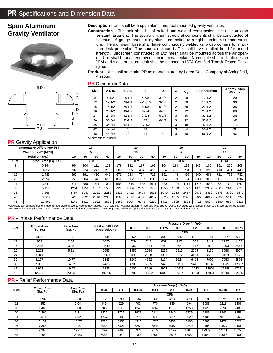### **Spun Aluminum Gravity Ventilator**





#### **PR** Gravity Application

**Description** - Unit shall be a spun aluminum, roof mounted gravity ventilator.

- **Construction** The unit shall be of bolted and welded construction utilizing corrosion resistant fasteners. The spun aluminum structural components shall be constructed of minimum 16 gauge marine alloy aluminum, bolted to a rigid aluminum support structure. The aluminum base shall have continuously welded curb cap corners for maximum leak protection. The spun aluminum baffle shall have a rolled bead for added strength. Birdscreen constructed of 1/2" mesh shall be mounted across the air opening. Unit shall bear an engraved aluminum nameplate. Nameplate shall indicate design CFM and static pressure. Unit shall be shipped in ISTA Certified Transit Tested Packaging.
- **Product** Unit shall be model PR as manufactured by Loren Cook Company of Springfield, Missouri.

| <b>PR</b> Dimension Data |  |
|--------------------------|--|
|                          |  |

| <b>Size</b> | A Dia.                               | B Dia.     | C          | D         | G | Sq. | <b>Roof Opening</b> | Approx. Ship<br>Wt.-Lbs. |
|-------------|--------------------------------------|------------|------------|-----------|---|-----|---------------------|--------------------------|
| 8           | $8 - 1/2$                            | $18 - 1/4$ | $4 - 5/8$  | $3 - 1/2$ | 2 | 18  | $13 - 1/2$          | 20                       |
| 12          | $12 - 1/2$                           | $28 - 1/4$ | 4-13/16    | $3 - 1/2$ | 2 | 20  | $15 - 1/2$          | 30                       |
| 16          | $16 - 1/2$                           | $28 - 1/4$ | $5 - 1/8$  | $5 - 1/2$ | 2 | 28  | $23 - 1/2$          | 35                       |
| 20          | $20 - 1/2$                           | $36 - 1/2$ | $6 - 3/4$  | $4 - 7/8$ | 2 | 32  | $27 - 1/2$          | 80                       |
| 24          | $24 - 3/4$                           | $42 - 1/4$ | $7 - 3/4$  | $6 - 1/4$ | 3 | 36  | $31 - 1/2$          | 105                      |
| 30          | $30 - 3/4$                           | $52 - 1/2$ | 17         | $6 - 1/4$ | 3 | 42  | $37 - 1/2$          | 140                      |
| 36          | $36 - 3/4$                           | $62 - 1/2$ | $17 - 1/2$ | $7 - 1/2$ | 3 | 48  | $43 - 1/2$          | 170                      |
| 42          | $42 - 3/4$                           | 73         | 14         | 8         | 3 | 54  | $50-1/2$            | 205                      |
| 48          | $48 - 3/4$                           | 73         | 14         | 8         | 3 | 60  | $56 - 1/2$          | 260                      |
|             | All other constructs to the class of |            |            |           |   |     |                     |                          |

All dimensions in inches.

|      | Temperature Difference* (°F)                                                                                                                                                                         | 10   |            |      | 10   |                              |            |      | 20                           |      |            |      |      | 20   |      |            |      |
|------|------------------------------------------------------------------------------------------------------------------------------------------------------------------------------------------------------|------|------------|------|------|------------------------------|------------|------|------------------------------|------|------------|------|------|------|------|------------|------|
|      | Wind Speed** (MPH)                                                                                                                                                                                   |      |            | 5    |      |                              |            | 10   |                              |      | C          |      |      |      |      | 10         |      |
|      | Height*** (Ft.)                                                                                                                                                                                      | 10   | 20         | 30   | 40   | 10                           | 20         | 30   | 40                           | 10   | 20         | 30   | 40   | 10   | 20   | 30         | 40   |
| Size | Throat Area (Sq. Ft.)                                                                                                                                                                                |      | <b>CFM</b> |      |      |                              | <b>CFM</b> |      |                              |      | <b>CFM</b> |      |      |      |      | <b>CFM</b> |      |
| 8    | 0.394                                                                                                                                                                                                | 96   | 104        | 111  | 118  | 178                          | 182        | 187  | 191                          | 104  | 118        | 131  | 143  | 182  | 191  | 200        | 208  |
| 12   | 0.852                                                                                                                                                                                                | 207  | 224        | 241  | 256  | 385                          | 395        | 404  | 413                          | 224  | 256        | 284  | 310  | 395  | 413  | 431        | 449  |
| 16   | 1.485                                                                                                                                                                                                | 360  | 391        | 420  | 446  | 671                          | 688        | 704  | 721                          | 391  | 446        | 495  | 540  | 688  | 721  | 752        | 782  |
| 20   | 2.292                                                                                                                                                                                                | 556  | 604        | 648  | 689  | 1035                         | 1062       | 1087 | 1112                         | 604  | 689        | 764  | 833  | 1062 | 1112 | 1161       | 1207 |
| 24   | 3.341                                                                                                                                                                                                | 811  | 880        | 944  | 1004 | 1509                         | 1548       | 1585 | 1621                         | 880  | 1004       | 1114 | 1215 | 1548 | 1621 | 1692       | 1760 |
| 30   | 5.157                                                                                                                                                                                                | 1251 | 1358       | 1457 | 1550 | 2330                         | 2389       | 2446 | 2503                         | 1358 | 1550       | 1720 | 1875 | 2389 | 2503 | 2611       | 2716 |
| 36   | 7.366                                                                                                                                                                                                | 1787 | 1940       | 2081 | 2213 | 3328                         | 3412       | 3494 | 3575                         | 1940 | 2213       | 2457 | 2678 | 3412 | 3575 | 3730       | 3879 |
| 42   | 9.968                                                                                                                                                                                                | 2419 | 2625       | 2816 | 2995 | 4503                         | 4617       | 4728 | 4837                         | 2625 | 2995       | 3325 | 3624 | 4617 | 4837 | 5048       | 5250 |
| 48   | 12.962                                                                                                                                                                                               | 3145 | 3413       | 3662 | 3895 | 6004<br>6149<br>6290<br>5856 |            |      | 4323<br>3413<br>3895<br>4713 |      |            |      | 6004 | 6290 | 6564 | 6827       |      |
|      | *Allowable temperature rise of indoor temperature above outdoor temperatures. **Consult local weather station for average wind speed. Use 1/2 average wind speed. If average is over 20 MPH, consult |      |            |      |      |                              |            |      |                              |      |            |      |      |      |      |            |      |

\*Allowable temperature rise of indoor temperature above outdoor temperatures. \*\*Consult local weather station for average wind speed. Use 1/2 average wind speed. If average is over 20 MPH, consult<br>gravity ventilation appli

#### **PR** - Intake Performance Data

|             |                          |                              |                                        |      |       |       | Pressure Drop (in WG) |       |       |       |       |
|-------------|--------------------------|------------------------------|----------------------------------------|------|-------|-------|-----------------------|-------|-------|-------|-------|
| <b>Size</b> | Throat Area<br>(Sq. Ft.) | <b>Face Area</b><br>(Sq. Ft) | CFM at 500 FPM<br><b>Face Velocity</b> | 0.05 | 0.1   | 0.125 | 0.15                  | 0.2   | 0.25  | 0.3   | 0.375 |
|             |                          |                              |                                        |      |       |       | <b>CFM</b>            |       |       |       |       |
| 8           | .394                     | .38                          | 690                                    | 252  | 356   | 398   | 436                   | 503   | 543   | 617   | 689   |
| 12          | .852                     | 2.04                         | 1020                                   | 529  | 749   | 837   | 917                   | 1059  | 1142  | 1297  | 1450  |
| 16          | <b>.485</b>              | 3.08                         | 1540                                   | 936  | 1324  | 1480  | 1621                  | 1872  | 2019  | 2293  | 2563  |
| 20          | 2.292                    | 5.31                         | 2655                                   | 1452 | 2054  | 2296  | 2516                  | 2905  | 3132  | 3558  | 3977  |
| 24          | 3.341                    | 7.92                         | 3960                                   | 2091 | 2958  | 3307  | 3622                  | 4183  | 4510  | 5123  | 5728  |
| 30          | 5.157                    | 10.77                        | 5385                                   | 3247 | 4592  | 5134  | 5624                  | 6494  | 7002  | 7953  | 8892  |
| 36          | 7.366                    | 14.87                        | 7435                                   | 4706 | 6655  | 7440  | 8150                  | 9411  | 10149 | 11527 | 12887 |
| 42          | 9.968                    | 19.67                        | 9835                                   | 6307 | 8919  | 9971  | 10923                 | 12613 | 13601 | 15448 | 17271 |
| 48          | 12.962                   | 20.53                        | 10,265                                 | 8282 | 11712 | 13095 | 14344                 | 16563 | 17861 | 20286 | 22680 |

#### **PR** - Relief Performance Data

|             |                          |                               |      |      |       |       | Pressure Drop (in WG) |       |       |       |       |
|-------------|--------------------------|-------------------------------|------|------|-------|-------|-----------------------|-------|-------|-------|-------|
| <b>Size</b> | Throat Area<br>(Sq. Ft.) | <b>Face Area</b><br>(Sq. Ft.) | 0.05 | 0.1  | 0.125 | 0.15  | 0.2                   | 0.25  | 0.3   | 0.375 | 0.5   |
|             |                          |                               |      |      |       |       | <b>CFM</b>            |       |       |       |       |
| 8           | .394                     | 1.38                          | 212  | 299  | 334   | 366   | 423                   | 473   | 518   | 579   | 669   |
| 12          | .852                     | 2.04                          | 445  | 629  | 703   | 770   | 889                   | 994   | 1089  | 1218  | 1406  |
| 16          | 1.485                    | 3.08                          | 786  | 1112 | 1243  | 1362  | 1573                  | 1758  | 1926  | 2154  | 2487  |
| 20          | 2.292                    | 5.31                          | 1220 | 1726 | 1929  | 2114  | 2440                  | 2729  | 2989  | 3342  | 3859  |
| 24          | 3.341                    | 7.92                          | 1757 | 2485 | 2778  | 3043  | 3514                  | 3929  | 4304  | 4812  | 5557  |
| 30          | 5.157                    | 10.77                         | 2728 | 3858 | 4313  | 4725  | 5456                  | 6100  | 6682  | 7471  | 8626  |
| 36          | 7.366                    | 14.87                         | 3954 | 5591 | 6251  | 6848  | 7907                  | 8840  | 9684  | 10827 | 12502 |
| 42          | 9.968                    | 19.67                         | 5299 | 7493 | 8378  | 9177  | 10597                 | 11848 | 12979 | 14511 | 16755 |
| 48          | 12.962                   | 20.53                         | 6958 | 9840 | 11002 | 12052 | 13916                 | 15559 | 17044 | 19055 | 22003 |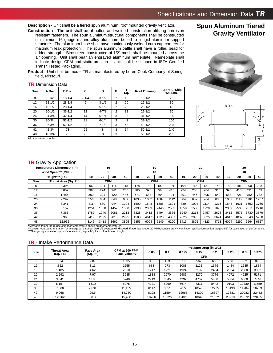**Description** - Unit shall be a tiered spun aluminum, roof mounted gravity ventilator.

- **Construction** The unit shall be of bolted and welded construction utilizing corrosion resistant fasteners. The spun aluminum structural components shall be constructed of minimum 16 gauge marine alloy aluminum, bolted to a rigid aluminum support structure. The aluminum base shall have continuously welded curb cap corners for maximum leak protection. The spun aluminum baffle shall have a rolled bead for added strength. Birdscreen constructed of 1/2" mesh shall be mounted across the air opening. Unit shall bear an engraved aluminum nameplate. Nameplate shall indicate design CFM and static pressure. Unit shall be shipped in ISTA Certified Transit Tested Packaging.
- **Product** Unit shall be model TR as manufactured by Loren Cook Company of Springfield, Missouri.

| <b>Size</b> | A Dia.     | B Dia.     | C         | D         | G | Sq. | <b>Roof Opening</b> | Approx. Ship<br>Wt.-Lbs. |
|-------------|------------|------------|-----------|-----------|---|-----|---------------------|--------------------------|
| 8           | $8 - 1/2$  | $18 - 1/4$ | $7 - 1/4$ | $3 - 1/2$ | 2 | 18  | $13 - 1/2$          | 20                       |
| 12          | $12 - 1/2$ | $28 - 1/4$ | 9         | $3 - 1/2$ | 2 | 20  | $15 - 1/2$          | 30                       |
| 16          | $16 - 1/2$ | $28 - 1/4$ | 9         | $5 - 1/2$ | 2 | 28  | $23 - 1/2$          | 40                       |
| 20          | $20 - 1/2$ | $36 - 1/2$ | 12        | $4 - 7/8$ | 2 | 32  | $27 - 1/2$          | 90                       |
| 24          | 24-3/4     | $42 - 1/4$ | 14        | $6 - 1/4$ | 3 | 36  | $31 - 1/2$          | 120                      |
| 30          | $30 - 3/4$ | $52 - 1/2$ | 31        | $6 - 1/4$ | 3 | 42  | $37 - 1/2$          | 160                      |
| 36          | $36 - 3/4$ | $62 - 1/2$ | 33        | $7 - 1/2$ | 3 | 48  | $43 - 1/2$          | 205                      |
| 42          | $42 - 3/4$ | 73         | 25        | 8         | 3 | 54  | $50-1/2$            | 240                      |
| 48          | $48 - 3/4$ | 73         | 25        | 8         | 3 | 60  | $56 - 1/2$          | 295                      |

#### **TR** Dimension Data

All dimensions in inches.

### **Spun Aluminum Tiered Gravity Ventilator**





#### **TR** Gravity Application

|      | Temperature Difference* (°F) |      |      | 10         |      |      |      | 10         |      |      |      | 20         |      |      | 20   |            |      |
|------|------------------------------|------|------|------------|------|------|------|------------|------|------|------|------------|------|------|------|------------|------|
|      | Wind Speed** (MPH)           |      |      | 5          |      |      |      | 10         |      |      | 5    |            |      | 10   |      |            |      |
|      | Height*** (Ft.)              | 10   | 20   | 30         | 40   | 10   | 20   | 30         | 40   | 10   | 20   | 30         | 40   | 10   | 20   | 30         | 40   |
| Size | Throat Area (Sq. Ft.)        |      |      | <b>CFM</b> |      |      |      | <b>CFM</b> |      |      |      | <b>CFM</b> |      |      |      | <b>CFM</b> |      |
| 8    | 0.394                        | 96   | 104  | 111        | 118  | 178  | 182  | 187        | 191  | 104  | 118  | 131        | 143  | 182  | 191  | 200        | 208  |
| 12   | 0.852                        | 207  | 224  | 241        | 256  | 385  | 395  | 404        | 413  | 224  | 256  | 284        | 310  | 395  | 413  | 431        | 449  |
| 16   | <b>.485</b>                  | 360  | 391  | 420        | 446  | 671  | 688  | 704        | 721  | 391  | 446  | 495        | 540  | 688  | 721  | 752        | 782  |
| 20   | 2.292                        | 556  | 604  | 648        | 689  | 1035 | 1062 | 1087       | 1112 | 604  | 689  | 764        | 833  | 1062 | 1112 | 1161       | 1207 |
| 24   | 3.341                        | 811  | 880  | 944        | 1004 | 1509 | 1548 | 1585       | 1621 | 880  | 1004 | 1114       | 1215 | 1548 | 1621 | 1692       | 1760 |
| 30   | 5.157                        | 1251 | 1358 | 1457       | 1550 | 2330 | 2389 | 2446       | 2503 | 1358 | 1550 | 1720       | 1875 | 2389 | 2503 | 2611       | 2716 |
| 36   | 7.366                        | 1787 | 1940 | 2081       | 2213 | 3328 | 3412 | 3494       | 3575 | 1940 | 2213 | 2457       | 2678 | 3412 | 3575 | 3730       | 3879 |
| 42   | 9.968                        | 2419 | 2625 | 2816       | 2995 | 4503 | 4617 | 4728       | 4837 | 2625 | 2995 | 3325       | 3624 | 4617 | 4837 | 5048       | 5250 |
| 48   | 12.962                       | 3145 | 3413 | 3662       | 3895 | 5856 | 6004 | 6149       | 6290 | 3413 | 3895 | 4323       | 4713 | 6004 | 6290 | 6564       | 6827 |

\*Allowable temperature rise of indoor temperature above outdoor temperatures. \*\*Consult local weather station for average wind speed. Use 1/2 average wind speed. If average is over 20 MPH, consult gravity ventilation application section (pages 4-5) for calculation of performance.<br>\*\*\*See gravity vent

#### **TR** - Intake Performance Data

|      |                                 |                        | Pressure Drop (in WG)                  |       |       |       |            |       |       |       |       |
|------|---------------------------------|------------------------|----------------------------------------|-------|-------|-------|------------|-------|-------|-------|-------|
| Size | <b>Throat Area</b><br>(Sq. Ft.) | Face Area<br>(Sq. Ft.) | CFM at 500 FPM<br><b>Face Velocity</b> | 0.05  | 0.1   | 0.125 | 0.15       | 0.2   | 0.25  | 0.3   | 0.375 |
|      |                                 |                        |                                        |       |       |       | <b>CFM</b> |       |       |       |       |
| 8    | .394                            | 2.07                   | 1035                                   | 302   | 463   | 517   | 567        | 655   | 706   | 802   | 896   |
| 12   | .852                            | 3.11                   | 1555                                   | 688   | 973   | 1088  | 1192       | 1376  | 1484  | 1685  | 1884  |
| 16   | 1.485                           | 4.62                   | 2310                                   | 1217  | 1721  | 1924  | 2107       | 2434  | 2624  | 2980  | 3332  |
| 20   | 2.292                           | 7.97                   | 3985                                   | 1888  | 2670  | 2985  | 3270       | 3776  | 4072  | 4625  | 5171  |
| 24   | 3.341                           | 11.88                  | 5940                                   | 2719  | 3845  | 4299  | 4709       | 5438  | 5864  | 6660  | 7446  |
| 30   | 5.157                           | 16.15                  | 8075                                   | 4221  | 5969  | 6674  | 7311       | 8442  | 9103  | 10339 | 11559 |
| 36   | 7.366                           | 22.31                  | 11.155                                 | 6117  | 8651  | 9672  | 10596      | 12235 | 13193 | 14984 | 16753 |
| 42   | 9.968                           | 29.5                   | 14.750                                 | 8198  | 11594 | 12963 | 14200      | 16397 | 17681 | 20082 | 22452 |
| 48   | 12.962                          | 30.8                   | 15.400                                 | 10766 | 15226 | 17023 | 18648      | 21532 | 23219 | 26372 | 29485 |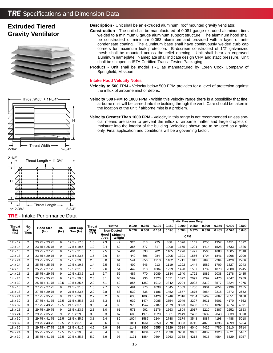### **TRE** Specifications and Dimension Data

### **Extruded Tiered Gravity Ventilator**





**Description -** Unit shall be an extruded aluminum, roof mounted gravity ventilator.

- **Construction**  The unit shall be manufactured of 0.081 gauge extruded aluminum tiers welded to a minimum 8 gauge aluminum support structure. The aluminum hood shall be constructed of minimum 0.063 aluminum and provided with a layer of anticondensate coating. The aluminum base shall have continuously welded curb cap corners for maximum leak protection. Birdscreen constructed of 1/2" galvanized mesh shall be mounted across the relief opening. Unit shall bear an engraved aluminum nameplate. Nameplate shall indicate design CFM and static pressure. Unit shall be shipped in ISTA Certified Transit Tested Packaging.
- **Product**  Unit shall be model TRE as manufactured by Loren Cook Company of Springfield, Missouri.

#### **Intake Hood Velocity Notes**

- **Velocity to 500 FPM** Velocity below 500 FPM provides for a level of protection against the influx of airborne mist or debris.
- **Velocity 500 FPM to 1000 FPM** Within this velocity range there is a possibility that fine, airborne mist will be carried into the building through the vent. Care should be taken in the location of the unit if airborne mist is a problem.
- **Velocity Greater Than 1000 FPM** Velocity in this range is not recommended unless special means are taken to prevent the influx of airborne matter and large droplets of moisture into the interior of the building. Velocities shown are to be used as a guide only. Final application and conditions will be a governing factor.

#### **TRE** - Intake Performance Data

2-3/4"

2"

Throat Length

2-3/4"

|                      |                |                  |             |                 |                            |              |                    | <b>Static Pressure Drop</b> |       |       |       |            |       |       |       |       |       |
|----------------------|----------------|------------------|-------------|-----------------|----------------------------|--------------|--------------------|-----------------------------|-------|-------|-------|------------|-------|-------|-------|-------|-------|
| <b>Throat</b>        | No.            | <b>Hood Size</b> | Ht.         | <b>Curb Cap</b> | <b>Throat</b>              |              | <b>Ducted</b>      | 0.020                       | 0.055 | 0.100 | 0.150 | 0.200      | 0.250 | 0.300 | 0.350 | 0.400 | 0.500 |
| <b>Size</b><br>(In.) | of<br>Tiers    | (In.)            | $($ ln. $)$ | Size (In)       | Area<br>(FT <sup>2</sup> ) |              | <b>Non-Ducted</b>  | 0.028                       | 0.068 | 0.134 | 0.198 | 0.264      | 0.325 | 0.390 | 0.455 | 0.520 | 0.645 |
|                      |                |                  |             |                 |                            | Hood<br>Area | Shipping<br>Weight |                             |       |       |       | <b>CFM</b> |       |       |       |       |       |
| $12 \times 12$       | 2              | 23.75 x 23.75    | 9           | 17.5 x 17.5     | 1.0                        | 2.3          | 47                 | 324                         | 513   | 725   | 888   | 1026       | 1147  | 1256  | 1357  | 1451  | 1622  |
| $12 \times 14$       | 2              | 23.75 x 25.75    | 9           | 17.5 x 19.5     | 1.2                        | 2.4          | 50                 | 365                         | 577   | 817   | 1000  | 1155       | 1291  | 1414  | 1528  | 1633  | 1826  |
| $12 \times 16$       | $\overline{2}$ | 23.75 x 27.75    | 9           | 17.5 x 21.5     | 1.3                        | 2.5          | 52                 | 404                         | 638   | 902   | 1105  | 1276       | 1427  | 1563  | 1688  | 1805  | 2018  |
| $12 \times 18$       | $\overline{2}$ | 23.75 x 29.75    | 9           | 17.5 x 23.5     | 1.5                        | 2.6          | 54                 | 440                         | 696   | 984   | 1205  | 1391       | 1556  | 1704  | 1841  | 1968  | 2200  |
| 12 x 24              | $\overline{2}$ | 23.75 x 35.75    | 9           | 17.5 x 29.5     | 2.0                        | 3.0          | 61                 | 541                         | 856   | 1210  | 1482  | 1711       | 1913  | 2096  | 2264  | 2420  | 2706  |
| 14 x 14              | 2              | 25.75 x 25.75    | 9           | 19.5 x 19.5     | 1.4                        | 2.5          | 52                 | 409                         | 646   | 913   | 1119  | 1292       | 1444  | 1582  | 1709  | 1827  | 2043  |
| $14 \times 16$       | 2              | 25.75 x 27.75    | 9           | 19.5 x 21.5     | 1.6                        | 2.6          | 54                 | 449                         | 710   | 1004  | 1229  | 1420       | 1587  | 1739  | 1878  | 2008  | 2245  |
| 14 x 18              | 2              | 25.75 x 29.75    | 9           | 19.5 x 23.5     | 1.8                        | 2.7          | 56                 | 487                         | 770   | 1089  | 1334  | 1540       | 1722  | 1886  | 2038  | 2178  | 2435  |
| 14 x 24              | $\overline{2}$ | 25.75 x 35.75    | 9           | 19.5 x 29.5     | 2.3                        | 3.1          | 63                 | 592                         | 936   | 1323  | 1621  | 1872       | 2092  | 2292  | 2476  | 2647  | 2959  |
| 14 x 30              | 2              | 25.75 x 41.75    | 12.5        | 19.5 x 35.5     | 2.9                        | 5.1          | 69                 | 855                         | 1352  | 1912  | 2342  | 2704       | 3023  | 3312  | 3577  | 3824  | 4275  |
| $16 \times 16$       | 2              | 27.75 x 27.75    | 9           | 21.5 x 21.5     | 1.8                        | 2.7          | 56                 | 491                         | 776   | 1098  | 1345  | 1553       | 1736  | 1901  | 2054  | 2196  | 2455  |
| 16 x 18              | $\overline{2}$ | 27.75 x 29.75    | 9           | 21.5 x 23.5     | 2.0                        | 2.8          | 58                 | 530                         | 838   | 1186  | 1452  | 1677       | 1875  | 2054  | 2218  | 2372  | 2652  |
| 16 x 24              | $\overline{2}$ | 27.75 x 35.75    | 9           | 21.5 x 29.5     | 2.7                        | 3.2          | 65                 | 638                         | 1008  | 1426  | 1746  | 2016       | 2254  | 2469  | 2667  | 2851  | 3188  |
| 16 x 30              | 3              | 27.75 x 41.75    | 12.5        | 21.5 x 35.5     | 3.3                        | 5.3          | 83                 | 932                         | 1474  | 2085  | 2554  | 2949       | 3297  | 3611  | 3901  | 4170  | 4662  |
| 16 x 32              | 3              | 27.75 x 43.75    | 12.5        | 21.5 x 37.5     | 3.6                        | 5.4          | 86                 | 978                         | 1547  | 2187  | 2679  | 3093       | 3458  | 3788  | 4092  | 4374  | 4891  |
| 18 x 18              | 2              | 29.75 x 29.75    | 9           | 23.5 x 23.5     | 2.3                        | 3.0          | 61                 | 571                         | 902   | 1276  | 1563  | 1804       | 2017  | 2210  | 2387  | 2552  | 2853  |
| 18 x 24              | 2              | 29.75 x 35.75    | 9           | 23.5 x 29.5     | 3.0                        | 3.3          | 67                 | 680                         | 1975  | 1520  | 1861  | 2149       | 2403  | 2632  | 2843  | 3039  | 3398  |
| $18 \times 30$       | 3              | 29.75 x 41.75    | 12.5        | 23.5 x 35.5     | 3.8                        | 5.4          | 86                 | 1004                        | 1587  | 2244  | 2748  | 3174       | 3548  | 3887  | 4198  | 4488  | 5018  |
| 18 x 32              | 3              | 29.75 x 43.75    | 12.5        | 23.5 x 37.5     | 4.0                        | 5.6          | 88                 | 1051                        | 1661  | 2350  | 2878  | 3323       | 3715  | 4070  | 4396  | 4699  | 5254  |
| 18 x 36              | 3              | 29.75 x 47.75    | 12.5        | 23.5 x 41.5     | 4.5                        | 5.9          | 93                 | 1143                        | 1807  | 2555  | 3129  | 3614       | 4040  | 4426  | 4780  | 5110  | 5714  |
| 24 x 24              | 3              | 35.75 x 35.75    | 12.5        | 29.5 x 29.5     | 4.0                        | 5.4          | 86                 | 1033                        | 1634  | 2311  | 2830  | 3268       | 3653  | 4002  | 4323  | 4621  | 5167  |
| 24 x 30              | 3              | 35.75 x 41.75    | 12.5        | 29.5 x 35.5     | 5.0                        | 5.9          | 93                 | 1191                        | 1884  | 2664  | 3263  | 3768       | 4213  | 4615  | 4984  | 5329  | 5957  |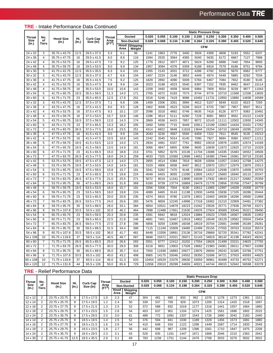**TRE** - Intake Performance Data Continued

|               |                |                  |       |             |                           |              |                           |       |       |       |       | <b>Static Pressure Drop</b> |            |       |       |       |       |
|---------------|----------------|------------------|-------|-------------|---------------------------|--------------|---------------------------|-------|-------|-------|-------|-----------------------------|------------|-------|-------|-------|-------|
| Throat        | No.            | <b>Hood Size</b> | Ht.   | Curb Cap    | Throat                    |              | <b>Ducted</b>             | 0.020 | 0.055 | 0.100 | 0.150 | 0.200                       | 0.250      | 0.300 | 0.350 | 0.400 | 0.500 |
| Size<br>(In.) | оf<br>Tiers    | (In.)            | (In.) | Size (In)   | Area<br>$(\mathsf{FT}^2)$ |              | <b>Non-Ducted</b>         | 0.028 | 0.068 | 0.134 | 0.198 | 0.264                       | 0.325      | 0.390 | 0.455 | 0.520 | 0.645 |
|               |                |                  |       |             |                           | Hood<br>Area | <b>Shipping</b><br>Weight |       |       |       |       |                             | <b>CFM</b> |       |       |       |       |
| 24 x 32       | 3              | 35.75 x 43.75    | 12.5  | 29.5 x 37.5 | 5.3                       | 6.1          | 96                        | 1241  | 1963  | 2776  | 3400  | 3926                        | 4389       | 4808  | 5193  | 5552  | 6207  |
| 24 x 36       | 4              | 35.75 x 47.75    | 16    | 29.5 x 41.5 | 6.0                       | 8.6          | 116                       | 1594  | 2520  | 3564  | 4365  | 5040                        | 5635       | 6172  | 6667  | 7127  | 7968  |
| 24 x 42       | $\overline{4}$ | 35.75 x 53.75    | 16    | 29.5 x 47.5 | 7.0                       | 9.2          | 125                       | 1779  | 2812  | 3977  | 4871  | 5624                        | 6288       | 6888  | 7440  | 7954  | 8893  |
| 24 x 48       | $\overline{4}$ | 35.75 x 59.75    | 16    | 29.5 x 53.5 | 8.0                       | 9.9          | 134                       | 1957  | 3094  | 4376  | 5359  | 6188                        | 6918       | 7579  | 8186  | 8751  | 9784  |
| 30 x 30       | 3              | 41.75 x 41.75    | 12.5  | 35.5 x 35.5 | 6.3                       | 6.4          | 101                       | 1355  | 2143  | 3031  | 3712  | 4286                        | 4792       | 5250  | 5670  | 6062  | 6777  |
| 30 x 32       | 3              | 41.75 x 43.75    | 12.5  | 35.5 x 37.5 | 6.7                       | 6.6          | 104                       | 1407  | 2224  | 3146  | 3853  | 4449                        | 4974       | 5449  | 5885  | 6292  | 7034  |
| 30 x 36       | 4              | 41.75 x 47.75    | 16    | 35.5 x 41.5 | 7.5                       | 9.2          | 125                       | 1829  | 2892  | 4090  | 5009  | 5784                        | 6467       | 7084  | 7652  | 8180  | 9145  |
| 30 x 42       | 4              | 41.75 x 53.75    | 16    | 35.5 x 47.5 | 8.8                       | 9.9          | 134                       | 2023  | 3198  | 4523  | 5540  | 6397                        | 7152       | 7835  | 8462  | 9047  | 10114 |
| 30 x 48       | 4              | 41.75 x 59.75    | 16    | 35.5 x 53.5 | 10.0                      | 10.6         | 143                       | 2209  | 3492  | 4939  | 6049  | 6984                        | 7809       | 8554  | 9239  | 9877  | 11043 |
| 30 x 54       | 5              | 41.75 x 65.75    | 19.5  | 35.5 x 59.5 | 11.3                      | 14.0         | 171                       | 2765  | 4372  | 6183  | 7573  | 8744                        | 9776       | 10710 | 11568 | 12336 | 13826 |
| 30 x 60       | 6              | 41.75 x 71.75    | 23    | 35.5 x 65.5 | 12.5                      | 17.8         | 201                       | 3318  | 5246  | 7419  | 9086  | 10492                       | 11731      | 12850 | 13880 | 14838 | 16589 |
| 32 x 32       | 3              | 43.75 x 43.75    | 12.5  | 37.5 x 37.5 | 7.1                       | 6.8          | 106                       | 1459  | 2306  | 3261  | 3994  | 4612                        | 5157       | 5649  | 6102  | 6523  | 7293  |
| 32 x 36       | 4              | 43.75 x 47.75    | 16    | 37.5 x 41.5 | 8.0                       | 9.5          | 128                       | 1902  | 3008  | 4523  | 5209  | 6015                        | 6725       | 7367  | 7957  | 8507  | 9511  |
| 32 x 42       | 4              | 43.75 x 53.75    | 16    | 37.5 x 47.5 | 9.3                       | 10.1         | 137                       | 2098  | 3318  | 4692  | 5746  | 6635                        | 7418       | 8126  | 8777  | 9383  | 10491 |
| 32 x 48       | $\overline{4}$ | 43.75 x 59.75    | 16    | 37.5 x 53.5 | 10.7                      | 10.8         | 146                       | 2286  | 3614  | 5111  | 6260  | 7228                        | 8081       | 8853  | 9562  | 10222 | 11429 |
| 32 x 54       | 5              | 43.75 x 65.75    | 19.5  | 37.5 x 59.5 | 12.0                      | 14.3         | 174                       | 2869  | 4536  | 6415  | 7857  | 9072                        | 10143      | 11111 | 12002 | 12830 | 14345 |
| 32 x 60       | 6              | 43.75 x 71.75    | 23    | 37.5 x 65.5 | 13.3                      | 18.2         | 205                       | 3450  | 5456  | 7715  | 9449  | 10911                       | 12199      | 13363 | 14434 | 15431 | 17252 |
| 32 x 72       | $\overline{7}$ | 43.75 x 83.75    | 26.5  | 37.5 x 77.5 | 16.0                      | 23.5         | 251                       | 4314  | 6822  | 9648  | 11816 | 13644                       | 15254      | 16710 | 18049 | 19295 | 21572 |
| 36 x 36       | 4              | 47.75 x 47.75    | 16    | 41.5 x 41.5 | 9.0                       | 9.9          | 134                       | 2043  | 3230  | 4567  | 5594  | 6459                        | 7222       | 7911  | 8545  | 9135  | 10213 |
| 36 x 42       | 4              | 47.75 x 53.75    | 16    | 41.5 x 47.5 | 10.5                      | 10.6         | 143                       | 2242  | 3545  | 5014  | 6140  | 7090                        | 7927       | 8684  | 9380  | 10027 | 11211 |
| 36 x 48       | 5              | 47.75 x 59.75    | 19.5  | 41.5 x 53.5 | 12.0                      | 14.0         | 171                       | 2834  | 4481  | 6337  | 7761  | 8962                        | 10019      | 10976 | 11855 | 12674 | 14169 |
| 36 x 54       | 5              | 47.75 x 65.75    | 19.5  | 41.5 x 59.5 | 13.5                      | 14.9         | 181                       | 3066  | 4847  | 6855  | 8396  | 9695                        | 10839      | 11873 | 12825 | 13710 | 15329 |
| 36 x 60       | 6              | 47.75 x 71.75    | 23    | 41.5 x 65.5 | 15.0                      | 18.8         | 213                       | 3701  | 5852  | 8276  | 10136 | 11704                       | 13086      | 14335 | 15483 | 16552 | 18506 |
| 36 x 72       | $\overline{7}$ | 47.75 x 83.75    | 26.5  | 41.5 x 77.5 | 18.0                      | 24.3         | 259                       | 4633  | 7325  | 10360 | 12688 | 14651                       | 16380      | 17944 | 19381 | 20719 | 23165 |
| 42 x 42       | 5              | 53.75 x 53.75    | 19.5  | 47.5 x 47.5 | 12.3                      | 14.0         | 171                       | 2855  | 4514  | 6384  | 7819  | 9028                        | 10094      | 11057 | 11943 | 12768 | 14275 |
| 42 x 48       | 5              | 53.75 x 59.75    | 19.5  | 47.5 x 53.5 | 14.0                      | 14.9         | 181                       | 3103  | 4906  | 6938  | 8497  | 9812                        | 10970      | 12017 | 12979 | 13876 | 15513 |
| 42 x 54       | 5              | 53.75 x 65.75    | 19.5  | 47.5 x 59.5 | 15.8                      | 15.7         | 191                       | 3341  | 5282  | 7470  | 9148  | 10564                       | 11810      | 12938 | 13970 | 14939 | 16703 |
| 42 x 60       | 6              | 53.75 x 71.75    | 23    | 47.5 x 65.5 | 17.5                      | 19.8         | 224                       | 4049  | 6403  | 9055  | 11090 | 12805                       | 14317      | 15683 | 16940 | 18110 | 20247 |
| 42 x 72       | $\overline{7}$ | 53.75 x 83.75    | 26.5  | 47.5 x 77.5 | 21.0                      | 25.5         | 271                       | 5072  | 8019  | 11341 | 13890 | 16039                       | 17932      | 19643 | 21217 | 22682 | 25359 |
| 42 x 84       | 8              | 53.75 x 95.75    | 30    | 47.5 x 89.5 | 24.5                      | 31.8         | 369                       | 6160  | 9739  | 13774 | 16869 | 19479                       | 21778      | 23856 | 25768 | 27547 | 30799 |
| 48 x 48       | 5              | 59.75 x 59.75    | 19.5  | 53.5 x 53.5 | 16.0                      | 15.7         | 191                       | 3356  | 5306  | 7504  | 9190  | 10612                       | 11865      | 12997 | 14039 | 15008 | 16779 |
| 48 x 54       | 6              | 59.75 x 65.75    | 23    | 53.5 x 59.5 | 18.0                      | 19.8         | 224                       | 4089  | 6465  | 9143  | 11198 | 12930                       | 14456      | 15836 | 17105 | 18286 | 20444 |
| 48 x 60       | 6              | 59.75 x 71.75    | 23    | 53.5 x 65.5 | 20.0                      | 20.8         | 235                       | 4374  | 6915  | 9780  | 11978 | 13831                       | 15463      | 16939 | 18296 | 19560 | 21868 |
| 48 x 72       | $\overline{7}$ | 59.75 x 83.75    | 26.5  | 53.5 x 77.5 | 24.0                      | 26.6         | 283                       | 5476  | 8659  | 12245 | 14998 | 17318                       | 19362      | 21210 | 22909 | 24491 | 27382 |
| 48 x 84       | 8              | 59.75 x 95.75    | 30    | 53.5 x 89.5 | 28.0                      | 33.1         | 384                       | 6654  | 10521 | 14879 | 18223 | 21042                       | 23526      | 25771 | 27836 | 29758 | 33271 |
| 48 x 96       | 9              | 59.75 x 107.8    | 33.5  | 53.5 x 102  | 32.0                      | 40.2         | 464                       | 7898  | 12488 | 17661 | 21630 | 24976                       | 27924      | 30589 | 33040 | 35321 | 39490 |
| 54 x 54       | 6              | 65.75 x 65.75    | 23    | 59.5 x 59.5 | 20.3                      | 20.8         | 235                       | 4391  | 6942  | 9818  | 12024 | 13884                       | 15523      | 17005 | 18367 | 19635 | 21953 |
| 54 x 60       | 6              | 65.75 x 71.75    | 23    | 59.5 x 65.5 | 22.5                      | 21.8         | 246                       | 4681  | 7401  | 10467 | 12819 | 14802                       | 16549      | 18129 | 19582 | 20934 | 23404 |
| 54 x 72       | 7              | 65.75 x 83.75    | 26.5  | 59.5 x 77.5 | 27.0                      | 27.8         | 296                       | 5856  | 9259  | 13095 | 16038 | 18519                       | 20704      | 22681 | 24498 | 26189 | 29281 |
| 54 x 84       | 8              | 65.75 x 95.75    | 30    | 59.5 x 89.5 | 31.5                      | 34.4         | 399                       | 7115  | 11249 | 15909 | 19485 | 22499                       | 25155      | 27555 | 29763 | 31818 | 35574 |
| 54 x 96       | 9              | 65.75 x 107.8    | 33.5  | 59.5 x 102  | 36.0                      | 41.7         | 481                       | 8448  | 13358 | 18891 | 23136 | 26716                       | 29869      | 32720 | 35341 | 37782 | 42241 |
| 54 x 108      | 10             | 65.75 x 119.8    | 37    | 59.5 x 114  | 40.5                      | 49.7         | 587                       | 9848  | 15571 | 22021 | 26971 | 31143                       | 34819      | 38142 | 41198 | 44043 | 49241 |
| 60 x 60       | $\overline{7}$ | 71.75 x 71.75    | 26.5  | 65.5 x 65.5 | 25.0                      | 26.6         | 283                       | 5551  | 8777  | 12412 | 15202 | 17554                       | 19626      | 21499 | 23221 | 24825 | 27755 |
| 60 x 72       | $\overline{7}$ | 71.75 x 83.75    | 26.5  | 65.5 x 77.5 | 30.0                      | 29.0         | 308                       | 6218  | 9831  | 13903 | 17028 | 19662                       | 21983      | 24081 | 26011 | 27807 | 31089 |
| 60 x 84       | 8              | 71.75 x 95.75    | 30    | 65.5 x 89.5 | 35.0                      | 35.7         | 414                       | 7550  | 11938 | 16883 | 20677 | 23876                       | 26694      | 29242 | 31585 | 33766 | 37751 |
| 60 x 96       | 9              | 71.75 x 107.8    | 33.5  | 65.5 x 102  | 40.0                      | 43.2         | 498                       | 8965  | 14175 | 20046 | 24552 | 28350                       | 31696      | 34721 | 37503 | 40093 | 44825 |
| 60 x 108      | 10             | 71.75 x 119.8    | 37    | 65.5 x 114  | 45.0                      | 51.3         | 633                       | 10454 | 16529 | 23376 | 28630 | 33059                       | 36961      | 40489 | 43733 | 46752 | 52271 |
| 60 x 120      | 12             | 71.75 x 131.8    | 44    | 65.5 x 126  | 50.0                      | 65.6         | 729                       | 12656 | 20010 | 28299 | 34659 | 40021                       | 44744      | 49015 | 52942 | 56598 | 63278 |
|               |                |                  |       |             |                           |              |                           |       |       |       |       |                             |            |       |       |       |       |

#### **TRE** - Relief Performance Data

|                |                |                  |       |                 |                            |              |                    |       |       |       |       |       | <b>Static Pressure Drop</b> |       |       |       |       |
|----------------|----------------|------------------|-------|-----------------|----------------------------|--------------|--------------------|-------|-------|-------|-------|-------|-----------------------------|-------|-------|-------|-------|
| Throat         | No.            | <b>Hood Size</b> | Ht.   | <b>Curb Cap</b> | <b>Throat</b>              |              | <b>Ducted</b>      | 0.020 | 0.055 | 0.100 | 0.150 | 0.200 | 0.250                       | 0.300 | 0.350 | 0.400 | 0.500 |
| Size<br>(In.)  | оf<br>Tiers    | (In.)            | (In.) | Size (In)       | Area<br>(FT <sup>2</sup> ) |              | <b>Non-Ducted</b>  | 0.028 | 0.068 | 0.134 | 0.198 | 0.264 | 0.325                       | 0.390 | 0.455 | 0.520 | 0.645 |
|                |                |                  |       |                 |                            | Hood<br>Area | Shipping<br>Weight |       |       |       |       |       | <b>CFM</b>                  |       |       |       |       |
| $12 \times 12$ | 2              | 23.75 x 23.75    | 9     | 17.5 x 17.5     | 1.0                        | 2.3          | 47                 | 304   | 481   | 680   | 833   | 962   | 1076                        | 1178  | 1273  | 1361  | 1521  |
| $12 \times 14$ | $\overline{2}$ | 23.75 x 25.75    | 9     | 17.5 x 19.5     | 1.2                        | 2.4          | 50                 | 339   | 537   | 759   | 929   | 1073  | 1200                        | 1314  | 1420  | 1518  | 1697  |
| $12 \times 16$ | $\overline{2}$ | 23.75 x 27.75    | 9     | 17.5 x 21.5     | 1.3                        | 2.5          | 52                 | 372   | 588   | 832   | 1019  | 1177  | 1316                        | 1441  | 1557  | 1664  | 1860  |
| $12 \times 18$ | 2              | 23.75 x 29.75    | 9     | 17.5 x 23.5     | 1.5                        | 2.6          | 54                 | 403   | 637   | 901   | 1104  | 1274  | 1425                        | 1561  | 1686  | 1802  | 2015  |
| $12 \times 24$ | 2              | 23.75 x 35.75    | 9     | 17.5 x 29.5     | 2.0                        | 3.0          | 61                 | 488   | 772   | 1091  | 1337  | 1543  | 1726                        | 1890  | 2042  | 2183  | 2440  |
| 14 x 14        | 2              | 25.75 x 25.75    | 9     | 19.5 x 19.5     | 1.4                        | 2.5          | 52                 | 376   | 594   | 841   | 1030  | 189   | 1329                        | 1456  | 1573  | 1681  | 1880  |
| $14 \times 16$ | $\overline{2}$ | 25.75 x 27.75    | 9     | 19.5 x 21.5     | 1.6                        | 2.6          | 54                 | 410   | 648   | 916   | 1122  | 296   | 1449                        | 1587  | 1714  | 1833  | 2049  |
| $14 \times 18$ | $\overline{2}$ | 25.75 x 29.75    | 9     | 19.5 x 23.5     | 1.8                        | 2.7          | 56                 | 442   | 698   | 987   | 1209  | 396   | 1561                        | 1710  | 1847  | 1975  | 2208  |
| 14 x 24        | $\overline{2}$ | 25.75 x 35.75    | 9     | 19.5 x 29.5     | 2.3                        | 3.1          | 63                 | 528   | 835   | 1181  | 1447  | 1671  | 1868                        | 2046  | 2210  | 2363  | 2642  |
| 14 x 30        | 2              | 25.75 x 41.75    | 12.5  | 19.5 x 35.5     | 2.9                        | 3.1          | 69                 | 783   | 1238  | 1751  | 2144  | 2476  | 2768                        | 3033  | 3276  | 3502  | 3915  |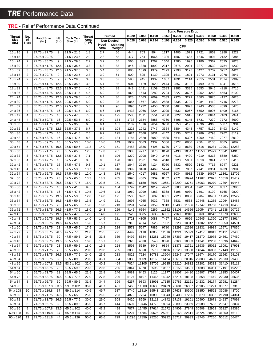### **TRE** - Relief Performance Data Continued

|                    |        |                                |              |                            |                    |              |                    |              |              |              |              |              | <b>Static Pressure Drop</b> |              |               |                   |               |
|--------------------|--------|--------------------------------|--------------|----------------------------|--------------------|--------------|--------------------|--------------|--------------|--------------|--------------|--------------|-----------------------------|--------------|---------------|-------------------|---------------|
| Throat             | No.    |                                |              | <b>Curb Cap</b>            | Throat             |              | <b>Ducted</b>      | 0.020        | 0.055        | 0.100        | 0.150        | 0.200        | 0.250                       | 0.300        | 0.350         | 0.400             | 0.500         |
| Size               | οf     | <b>Hood Size</b><br>(In.)      | Ht.<br>(In.) | Size (In)                  | Area               |              | <b>Non-Ducted</b>  | 0.028        | 0.068        | 0.134        | 0.198        | 0.264        | 0.325                       | 0.390        | 0.455         | 0.520             | 0.645         |
| (In.)              | Tiers  |                                |              |                            | (FT <sup>2</sup> ) | Hood<br>Area | Shipping<br>Weight |              |              |              |              | <b>CFM</b>   |                             |              |               |                   |               |
| 16 x 16            | 2      | 27.75 x 27.75                  | 9            | 21.5 x 21.5                | 1.8                | 2.7          | 56                 | 444          | 703          | 994          | 1217         | 1405         | 1571                        | 1721         | 1859          | 1988              | 2222          |
| 16 x 18            | 2      | 27.75 x 29.75                  | 9            | 21.5 x 23.5                | 2.0                | 2.8          | 58                 | 477          | 754          | 1066         | 1306         | 1507         | 1685                        | 1846         | 1994          | 2132              | 2384          |
| 16 x 24            | 2      | 27.75 x 35.75                  | 9            | 21.5 x 29.5                | 2.7                | 3.2          | 65                 | 565          | 893          | 1262         | 1546         | 1785         | 1996                        | 2186         | 2362          | 2525              | 2823          |
| 16 x 30            | 3      | 27.75 x 41.75                  | 12.5         | 21.5 x 35.5                | 3.3                | 5.3          | 83                 | 846          | 1338         | 1892         | 2317         | 2675         | 2991                        | 3277         | 3539          | 3784              | 4230          |
| 16 x 32            | 3      | 27.75 x 43.75                  | 12.5         | 21.5 x 37.5                | 3.6                | 5.4          | 86                 | 885          | 1399         | 1979         | 2423         | 2798         | 3128                        | 3427         | 3702          | 3957              | 4424          |
| 18 x 18            | 2      | 29.75 x 29.75                  | 9            | 23.5 x 23.5                | 2.3                | 3.0          | 61                 | 509          | 805          | 1139         | 1395         | 1611         | 1801                        | 1973         | 2131          | 2278              | 2547          |
| 18 x 24            | 2      | 29.75 x 35.75                  | 9            | 23.5 x 29.5                | 3.0                | 3.3          | 67                 | 598          | 945          | 1337         | 1637         | 1891         | 2114                        | 2315         | 2501          | 2674              | 2989          |
| 18 x 30            | 3      | 29.75 x 41.75                  | 12.5         | 23.5 x 35.5                | 3.8                | 5.4          | 86                 | 904          | 1429         | 2020         | 2474         | 2857         | 3195                        | 3499         | 3780          | 4041              | 4518          |
| 18 x 32            | 3      | 29.75 x 43.75                  | 12.5         | 23.5 x 37.5                | 4.0                | 5.6          | 88                 | 943          | 1491         | 2109         | 2583         | 2983         | 3335                        | 3653         | 3945          | 4218              | 4716          |
| 18 x 36            | 3      | 29.75 x 47.75                  | 12.5         | 23.5 x 41.5                | 4.5                | 5.9          | 93                 | 1020         | 1613         | 2282         | 2794         | 3227         | 3607                        | 3952         | 4268          | 4563              | 5102          |
| 24 x 24            | 3      | 35.75 x 35.75                  | 12.5         | 29.5 x 29.5                | 4.0                | 5.4          | 86                 | 925          | 1463         | 2069         | 2533         | 2925         | 3271                        | 3583         | 3870          | 4137              | 4625          |
| 24 x 30            | 3      | 35.75 x 41.75                  | 12.5         | 29.5 x 35.5                | 5.0                | 5.9          | 93                 | 1055         | 1667         | 2358         | 2888         | 3335         | 3729                        | 4084         | 4412          | 4716              | 5273          |
| 24 x 32            | 3      | 35.75 x 43.75                  | 12.5         | 29.5 x 37.5                | 5.3                | 6.1          | 96                 | 1096         | 1732         | 2450         | 3000         | 3464         | 3873                        | 4243         | 4583          | 4899              | 5478          |
| 24 x 36            | 4      | 35.75 x 47.75                  | 16           | 29.5 x 41.5                | 6.0                | 8.6          | 116                | 1433         | 2266         | 3204         | 3925         | 4532         | 5067                        | 5550         | 5995          | 6409              | 7165          |
| 24 x 42            | 4      | 35.75 x 53.75                  | 16           | 29.5 x 47.5                | 7.0                | 9.2          | 125                | 1588         | 2511         | 3551         | 4350         | 5022         | 5615                        | 6151         | 6644          | 7103              | 7941          |
| 24 x 48            | 4      | 35.75 x 59.75                  | 16           | 29.5 x 53.5                | 8.0                | 9.9          | 134                | 1738         | 2784         | 3886         | 4760         | 5496         | 6145                        | 6731         | 7270          | 7772              | 8690          |
| 30 x 30            | 3      | 41.75 x 41.75                  | 12.5         | 35.5 x 35.5                | 6.3                | 6.4          | 101                | 1187         | 1876         | 2654         | 3250         | 3753         | 4196                        | 4596         | 4965          | 5307              | 5934          |
| 30 x 32            | 3      | 41.75 x 43.75                  | 12.5         | 35.5 x 37.5                | 6.7                | 6.6          | 104                | 1228         | 1942         | 2747         | 3364         | 3884         | 4343                        | 4757         | 5139          | 5493              | 6142          |
| 30 x 36            | 4      | 41.75 x 47.75                  | 16           | 35.5 x 41.5                | 7.5                | 9.2          | 125                | 1624         | 2568         | 3631         | 4447         | 5135         | 5741                        | 6289         | 6793          | 7262              | 8119          |
| 30 x 42            | 4      | 41.75 x 53.75                  | 16           | 35.5 x 47.5                | 8.8                | 9.9          | 134                | 1784         | 2820         | 3989         | 4885         | 5641         | 6307                        | 6909         | 7462          | 7977              | 8919          |
| 30 x 48            | 4      | 41.75 x 59.75                  | 16           | 35.5 x 53.5                | 10.0               | 10.6         | 143                | 1937         | 3063         | 4332         | 5306         | 6127         | 6850                        | 7504         | 8105          | 8665              | 9687          |
| 30 x 54            | 5      | 41.75 x 65.75                  | 19.5         | 35.5 x 59.5                | 11.3               | 14.0         | 171                | 2458         | 3886         | 5495         | 6730         | 7772         | 8689                        | 9518         | 10281         | 1099 <sup>7</sup> | 12288         |
| 30 x 60            | 6      | 41.75 x 71.75                  | 23           | 35.5 x 65.5                | 12.5               | 17.8         | 201                | 2983         | 4717         | 6670         | 8170         | 9433         | 10547                       | 11553        | 12479         | 13341             | 14915         |
| 32 x 32            | 3      | 43.75 x 43.75                  | 12.5         | 37.5 x 37.5                | 7.1                | 6.8          | 106                | 1270         | 2008         | 2840         | 3478         | 4016         | 4490                        | 4919         | 5313          | 5680              | 6350          |
| 32 x 36            | 4      | 43.75 x 47.75                  | 16           | 37.5 x 41.5                | 8.0                | 9.5          | 128                | 1683         | 2661         | 3764         | 4610         | 5323         | 5951                        | 6519         | 7041          | 7527              | 8416          |
| 32 x 42            | 4      | 43.75 x 53.75                  | 16           | 37.5 x 47.5                | 9.3                | 10.1         | 137                | 1844         | 2916         | 4124         | 5050         | 5832         | 6520                        | 7142         | 7715          | 8247              | 9221          |
| 32 x 48            | 4      | 43.75 x 59.75                  | 16           | 37.5 x 53.5                | 10.7               | 10.8         | 146                | 1999         | 3160         | 4469         | 5474         | 6321         | 7067                        | 7741         | 8361          | 8939              | 9994          |
| 32 x 54            | 5      | 43.75 x 65.75                  | 19.5         | 37.5 x 59.5                | 12.0               | 14.3         | 174                | 2540         | 4017         | 5681         | 6957         | 8034         | 8982                        | 9839         | 10627         | 11361             | 12702         |
| 32 x 60            | 6      | 43.75 x 71.75                  | 23           | 37.5 x 65.5                | 13.3               | 18.2         | 205                | 3090         | 4885         | 6909         | 8462         | 9771         | 10924                       | 11967        | 12925         | 13818             | 15449         |
| 32 x 72            | 7      | 43.75 x 83.75                  | 26.5         | 37.5 x 77.5                | 16.0               | 23.5         | 251                | 3889         | 6150         | 8697         | 10651        | 12299        | 13751                       | 15063        | 16270         | 17394             | 19447         |
|                    | 4      |                                |              |                            | 9.0                |              |                    |              |              |              |              |              |                             |              |               |                   |               |
| 36 x 36            |        | 47.75 x 47.75                  | 16<br>16     | 41.5 x 41.5                |                    | 9.9          | 134<br>143         | 1797         | 2842         | 4019         | 4922         | 5683         | 6354                        | 6961         | 7518          | 8037              | 8986          |
| 36 x 42<br>36 x 48 | 4<br>5 | 47.75 x 53.75<br>47.75 x 59.75 | 19.5         | 41.5 x 47.5<br>41.5 x 53.5 | 10.5<br>12.0       | 10.6<br>14.0 | 171                | 1960<br>2505 | 3099<br>3961 | 4383<br>5602 | 5368<br>6861 | 6198<br>7923 | 6930<br>8858                | 7591<br>9704 | 8199<br>10481 | 8765<br>11205     | 9800<br>12527 |
| 36 x 54            | 5      | 47.75 x 65.75                  | 19.5         | 41.5 x 59.5                | 13.5               | 14.9         | 181                | 2698         | 4265         | 6032         | 7388         | 8531         | 9538                        | 10448        | 11285         | 12064             | 13488         |
|                    | 6      | 47.75 x 71.75                  |              |                            |                    |              | 213                | 3291         |              | 7359         |              |              |                             | 12747        |               |                   |               |
| 36 x 60            | 7      |                                | 23<br>26.5   | 41.5 x 65.5                | 15.0<br>18.0       | 18.8         | 259                | 4145         | 5204<br>6554 | 9269         | 9013         | 10408        | 11636                       |              | 13768         | 14719             | 16456         |
| 36 x 72            |        | 47.75 x 83.75                  |              | 41.5 x 77.5                |                    | 24.3         |                    |              |              |              | 11352        | 13108        | 14656                       | 16054        | 17341         | 18538             | 20726         |
| 42 x 42            | 5      | 53.75 x 53.75                  | 19.5         | 47.5 x 47.5                | 12.3               | 14.0         | 171                | 2520         | 3985         | 5635         | 6901         | 7969         | 8910                        | 9760         | 10542         | 11270             | 12600         |
| 42 x 48            | 5      | 53.75 x 59.75                  | 19.5         | 47.5 x 53.5                | 14.0               | 14.9         | 181                | 2723         | 4305         | 6088         | 7457         | 8610         | 9626                        | 10545        | 11390         | 12177             | 13614         |
| 42 x 54            | 5      | 53.75 x 65.75                  | 19.5         | 47.5 x 59.5                | 15.8               | 15.7         | 191                | 2918         | 4614         | 6525         | 7992         | 9228         | 10317                       | 11302        | 12207         | 13050             | 14591         |
| 42 x 60            | 6      | 53.75 x 71.75                  | 23           | 47.5 x 65.5                | 17.5               | 19.8         | 224                | 3571         | 5647         | 7985         | 9780         | 11293        | 12626                       | 13831        | 14939         | 15971             | 17856         |
| 42 x 72            | 7      | 53.75 x 83.75                  | 26.5         | 47.5 x 77.5                | 21.0               | 25.5         | 271                | 4497         | 7110         | 10056        | 12316        | 14221        | 15899                       |              | 17417 18812   | 20111             | 22485         |
| 42 x 84            | 8      | 53.75 x 95.75                  | 30           | 47.5 x 89.5                | 24.5               | 31.8         | 369                | 5492         | 8684         | 12281        | 15040        | 17367        | 19417                       | 21270        | 22975         | 24561             | 27460         |
| 48 x 48            | 5      | 59.75 x 59.75                  | 19.5         | 53.5 x 53.5                | 16.0               | 15.7         | 191                | 2928         | 4630         | 6548         | 8020         | 9260         | 10353                       | 11341        | 12250         | 13096             | 14642         |
| 48 x 54            | 6      | 59.75 x 65.75                  | 23           | 53.5 x 59.5                | 18.0               | 19.8         | 224                | 3598         | 5689         | 8046         | 9854         | 11378        | 12721                       | 13936        | 15052         | 16091             | 17991         |
| 48 x 60            | 6      | 59.75 x 71.75                  | 23           | 53.5 x 65.5                | 20.0               | 20.8         | 235                | 3833         | 6060         | 8570         | 10496        | 12120        | 13550                       | 14844        | 16033         | 17140             | 19163         |
| 48 x 72            | 7      | 59.75 x 83.75                  | 26.5         | 53.5 x 77.5                | 24.0               | 26.6         | 283                | 4822         | 7624         | 10781        | 13204        | 15247        | 17047                       | 18674        | 20170         | 21563             | 24108         |
| 48 x 84            | 8      | 59.75 x 95.75                  | 30           | 53.5 x 89.5                | 28.0               | 33.1         | 384                | 5888         | 9309         | 13165        | 16124        | 18618        | 20816                       | 22803        | 24630         | 26330             | 29438         |
| 48 x 96            | 9      | 59.75 x 107.8                  | 33.5         | 53.5 x 102                 | 32.0               | 40.2         | 464                | 7024         | 11105        | 15705        | 19235        | 22210        | 24832                       | 27202        | 29382         | 31410             | 35118         |
| 54 x 54            | 6      | 65.75 x 65.75                  | 23           | 59.5 x 59.5                | 20.3               | 20.8         | 235                | 3844         | 6078         | 8595         | 10527        | 12156        | 13591                       | 14888        | 16081         | 17191             | 19220         |
| 54 x 60            | 6      | 65.75 x 71.75                  | 23           | 59.5 x 65.5                | 22.5               | 21.8         | 246                | 4081         | 6453         | 9126         | 11177        | 12907        | 14430                       | 15807        | 17074         | 18253             | 20407         |
| 54 x 72            | 7      | 65.75 x 83.75                  | 26.5         | 59.5 x 77.5                | 27.0               | 27.8         | 296                | 5127         | 8107         | 11465        | 14042        | 16214        | 18128                       | 19858        | 21449         | 22930             | 25636         |
| 54 x 84            | 8      | 65.75 x 95.75                  | 30           | 59.5 x 89.5                | 31.5               | 34.4         | 399                | 6257         | 9893         | 13991        | 17135        | 19786        | 22121                       | 24232        | 26174         | 27981             | 31284         |
| 54 x 96            | 9      | 65.75 x 107.8                  | 33.5         | 59.5 x 102                 | 36.0               | 41.7         | 481                | 7463         | 11800        | 16688        | 20439        | 23601        | 26387                       | 28905        | 31221         | 33377             | 37316         |
| 54 x 108           | 10     | 65.75 x 119.8                  | 37           | 59.5 x 114                 | 40.5               | 49.7         | 587                | 8740         | 13819        | 19543        | 23935        | 27638        | 30900                       | 33850        | 36562         | 39086             | 43700         |
| 60 x 60            | 7      | 71.75 x 71.75                  | 26.5         | 65.5 x 65.5                | 25.0               | 26.6         | 283                | 4872         | 7704         | 10895        | 13343        | 15408        | 17226                       | 18870        | 20382         | 21790             | 24361         |
| 60 x 72            | 7      | 71.75 x 83.75                  | 26.5         | 65.5 x 77.5                | 30.0               | 29.0         | 308                | 5420         | 8569         | 12118        | 14842        | 17138        | 19161                       | 20990        | 22671         | 24237             | 27098         |
| 60 x 84            | 8      | 71.75 x 95.75                  | 30           | 65.5 x 89.5                | 35.0               | 35.7         | 414                | 6607         | 10446        | 14773        | 18094        | 20893        | 23359                       | 25588        | 27638         | 29547             | 33034         |
| 60 x 96            | 9      | 71.75 x 107.8                  | 33.5         | 65.5 x 102                 | 40.0               | 43.2         | 498                | 7877         | 12455        | 17614        | 21572        | 24909        | 27849                       | 30508        | 32952         | 35227             | 39385         |
| 60 x 108           | 10     | 71.75 x 119.8                  | 37           | 65.5 x 114                 | 45.0               | 51.3         | 633                | 9224         | 14584        | 20625        | 25261        | 29168        | 32611                       | 35724        | 38586         | 41250             | 46119         |
| 60 x 120           | 12     | 71.75 x 131.8                  | 44           | 65.5 x 126                 | 50.0               | 65.6         | 729                | 11295        | 17859        | 25256        | 30932        | 35717        | 39933                       | 43745        | 47250         | 50512             | 56474         |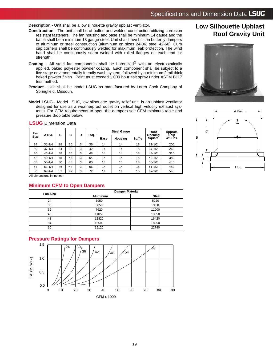<span id="page-19-0"></span>**Description** - Unit shall be a low silhouette gravity upblast ventilator.

- **Construction** The unit shall be of bolted and welded construction utilizing corrosion resistant fasteners. The fan housing and base shall be minimum 14 gauge and the baffle shall be a minimum 18 gauge steel. Unit shall have built-in butterfly dampers of aluminum or steel construction (aluminum on sizes 24-36, steel 42-60). Curb cap corners shall be continuously welded for maximum leak protection. The wind band shall be continuously seam welded with rolled flanges on each end for strength.
- **Coating** All steel fan components shall be Lorenized® with an electrostatically applied, baked polyester powder coating. Each component shall be subject to a five stage environmentally friendly wash system, followed by a minimum 2 mil thick baked powder finish. Paint must exceed 1,000 hour salt spray under ASTM B117 test method.
- **Product** Unit shall be model LSUG as manufactured by Loren Cook Company of Springfield, Missouri.
- **Model LSUG** Model LSUG, low silhouette gravity relief unit, is an upblast ventilator designed for use as a weatherproof outlet on vertical high velocity exhaust systems. For CFM requirements to open the dampers see CFM minimum table and pressure drop table below.

| <b>LSUG</b> Dimension Data |  |  |
|----------------------------|--|--|
|----------------------------|--|--|

| Fan         |            | B  | C  | D |       |             | <b>Steel Gauge</b> |               | Roof              | Approx.<br>Ship |
|-------------|------------|----|----|---|-------|-------------|--------------------|---------------|-------------------|-----------------|
| <b>Size</b> | A Dia.     |    |    |   | T Sa. | <b>Base</b> | Housing            | <b>Baffle</b> | Opening<br>Square | Wt.-Lbs.        |
| 24          | $31 - 1/4$ | 28 | 26 | 3 | 36    | 14          | 14                 | 18            | $31 - 1/2$        | 200             |
| 30          | $37 - 1/4$ | 34 | 32 | 3 | 42    | 14          | 14                 | 18            | $37 - 1/2$        | 260             |
| 36          | $43 - 1/4$ | 38 | 36 | 3 | 48    | 14          | 14                 | 18            | $43 - 1/2$        | 310             |
| 42          | $49 - 1/4$ | 45 | 43 | 3 | 54    | 14          | 14                 | 18            | $49 - 1/2$        | 380             |
| 48          | $55 - 1/4$ | 50 | 48 | 3 | 60    | 14          | 14                 | 18            | $55 - 1/2$        | 445             |
| 54          | $61 - 1/4$ | 46 | 44 | 3 | 66    | 14          | 14                 | 16            | $61 - 1/2$        | 480             |
| 60          | $67 - 1/4$ | 51 | 49 | 3 | 72    | 14          | 14                 | 16            | $67 - 1/2$        | 540             |

**Low Silhouette Upblast Roof Gravity Unit**





All dimensions in inches.

#### **Minimum CFM to Open Dampers**

| <b>Fan Size</b> |                 | <b>Damper Material</b> |
|-----------------|-----------------|------------------------|
|                 | <b>Aluminum</b> | <b>Steel</b>           |
| 24              | 3950            | 5220                   |
| 30              | 6050            | 7130                   |
| 36              | 7620            | 11000                  |
| 42              | 11050           | 13550                  |
| 48              | 12820           | 16420                  |
| 54              | 16500           | 18650                  |
| 60              | 19120           | 22740                  |

#### **Pressure Ratings for Dampers**